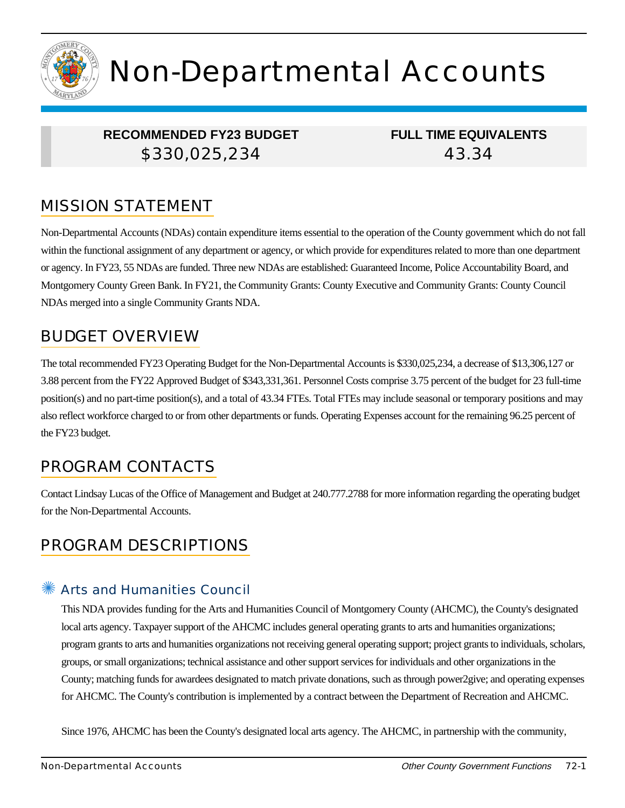

# Non-Departmental Accounts

# **RECOMMENDED FY23 BUDGET** \$330,025,234

**FULL TIME EQUIVALENTS** 43.34

# MISSION STATEMENT

Non-Departmental Accounts (NDAs) contain expenditure items essential to the operation of the County government which do not fall within the functional assignment of any department or agency, or which provide for expenditures related to more than one department or agency. In FY23, 55 NDAs are funded. Three new NDAs are established: Guaranteed Income, Police Accountability Board, and Montgomery County Green Bank. In FY21, the Community Grants: County Executive and Community Grants: County Council NDAs merged into a single Community Grants NDA.

# BUDGET OVERVIEW

The total recommended FY23 Operating Budget for the Non-Departmental Accounts is \$330,025,234, a decrease of \$13,306,127 or 3.88 percent from the FY22 Approved Budget of \$343,331,361. Personnel Costs comprise 3.75 percent of the budget for 23 full-time position(s) and no part-time position(s), and a total of 43.34 FTEs. Total FTEs may include seasonal or temporary positions and may also reflect workforce charged to or from other departments or funds. Operating Expenses account for the remaining 96.25 percent of the FY23 budget.

# PROGRAM CONTACTS

Contact Lindsay Lucas of the Office of Management and Budget at 240.777.2788 for more information regarding the operating budget for the Non-Departmental Accounts.

# PROGRAM DESCRIPTIONS

## Arts and Humanities Council

This NDA provides funding for the Arts and Humanities Council of Montgomery County (AHCMC), the County's designated local arts agency. Taxpayer support of the AHCMC includes general operating grants to arts and humanities organizations; program grants to arts and humanities organizations not receiving general operating support; project grants to individuals, scholars, groups, or small organizations; technical assistance and other support services for individuals and other organizations in the County; matching funds for awardees designated to match private donations, such as through power2give; and operating expenses for AHCMC. The County's contribution is implemented by a contract between the Department of Recreation and AHCMC.

Since 1976, AHCMC has been the County's designated local arts agency. The AHCMC, in partnership with the community,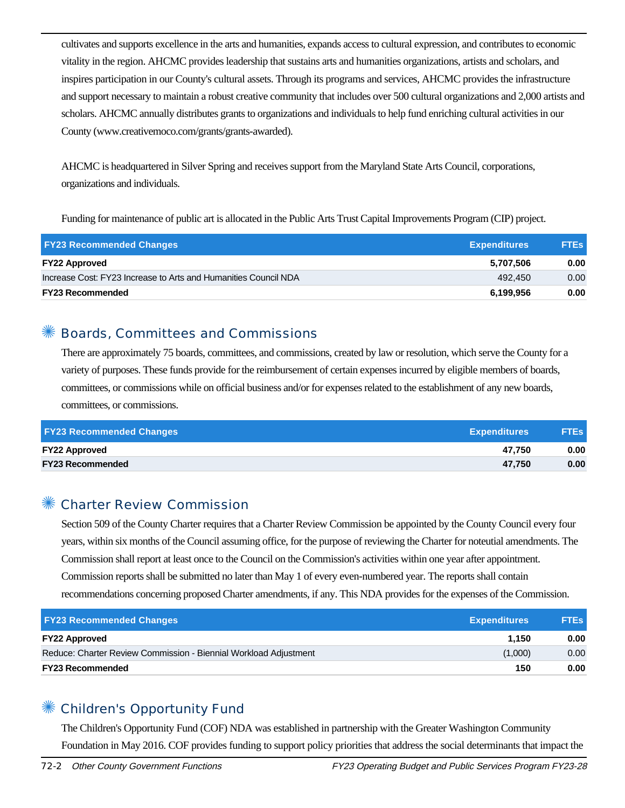cultivates and supports excellence in the arts and humanities, expands access to cultural expression, and contributes to economic vitality in the region. AHCMC provides leadership that sustains arts and humanities organizations, artists and scholars, and inspires participation in our County's cultural assets. Through its programs and services, AHCMC provides the infrastructure and support necessary to maintain a robust creative community that includes over 500 cultural organizations and 2,000 artists and scholars. AHCMC annually distributes grants to organizations and individuals to help fund enriching cultural activities in our County (www.creativemoco.com/grants/grants-awarded).

AHCMC is headquartered in Silver Spring and receives support from the Maryland State Arts Council, corporations, organizations and individuals.

Funding for maintenance of public art is allocated in the Public Arts Trust Capital Improvements Program (CIP) project.

| <b>FY23 Recommended Changes</b>                                 | <b>Expenditures</b> | <b>FTEs</b> |
|-----------------------------------------------------------------|---------------------|-------------|
| <b>FY22 Approved</b>                                            | 5.707.506           | 0.00        |
| Increase Cost: FY23 Increase to Arts and Humanities Council NDA | 492.450             | 0.00        |
| <b>FY23 Recommended</b>                                         | 6.199.956           | 0.00        |

#### ✺ Boards, Committees and Commissions

There are approximately 75 boards, committees, and commissions, created by law or resolution, which serve the County for a variety of purposes. These funds provide for the reimbursement of certain expenses incurred by eligible members of boards, committees, or commissions while on official business and/or for expenses related to the establishment of any new boards, committees, or commissions.

| <b>FY23 Recommended Changes</b> | <b>Expenditures</b> | <b>FTEs</b> |
|---------------------------------|---------------------|-------------|
| <b>FY22 Approved</b>            | 47.750              | 0.00        |
| <b>FY23 Recommended</b>         | 47.750              | 0.00        |

#### ✺ Charter Review Commission

Section 509 of the County Charter requires that a Charter Review Commission be appointed by the County Council every four years, within six months of the Council assuming office, for the purpose of reviewing the Charter for noteutial amendments. The Commission shall report at least once to the Council on the Commission's activities within one year after appointment. Commission reports shall be submitted no later than May 1 of every even-numbered year. The reports shall contain recommendations concerning proposed Charter amendments, if any. This NDA provides for the expenses of the Commission.

| <b>FY23 Recommended Changes</b>                                  | <b>Expenditures</b> | <b>FTEs</b> |
|------------------------------------------------------------------|---------------------|-------------|
| <b>FY22 Approved</b>                                             | 1.150               | 0.00        |
| Reduce: Charter Review Commission - Biennial Workload Adjustment | (1,000)             | 0.00        |
| <b>FY23 Recommended</b>                                          | 150                 | 0.00        |

## ✺ Children's Opportunity Fund

The Children's Opportunity Fund (COF) NDA was established in partnership with the Greater Washington Community Foundation in May 2016. COF provides funding to support policy priorities that address the social determinants that impact the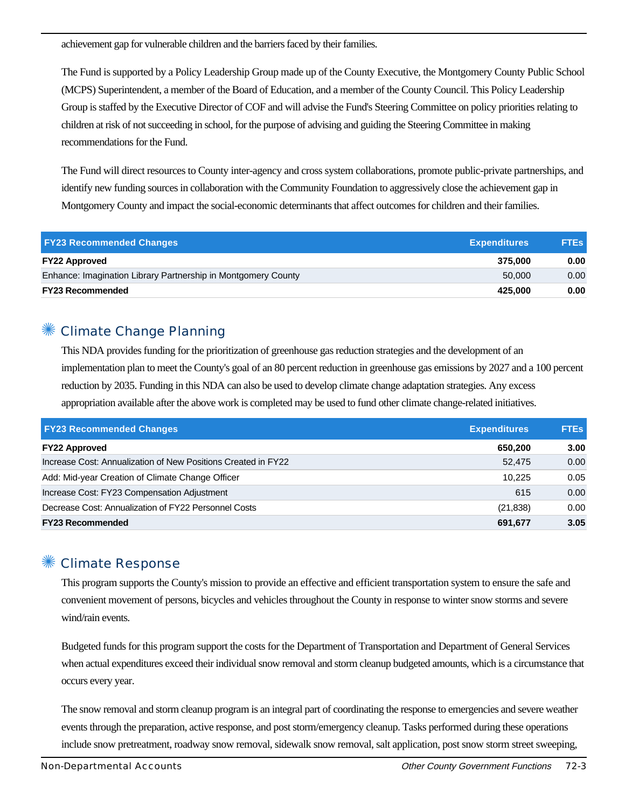achievement gap for vulnerable children and the barriers faced by their families.

The Fund is supported by a Policy Leadership Group made up of the County Executive, the Montgomery County Public School (MCPS) Superintendent, a member of the Board of Education, and a member of the County Council. This Policy Leadership Group is staffed by the Executive Director of COF and will advise the Fund's Steering Committee on policy priorities relating to children at risk of not succeeding in school, for the purpose of advising and guiding the Steering Committee in making recommendations for the Fund.

The Fund will direct resources to County inter-agency and cross system collaborations, promote public-private partnerships, and identify new funding sources in collaboration with the Community Foundation to aggressively close the achievement gap in Montgomery County and impact the social-economic determinants that affect outcomes for children and their families.

| <b>FY23 Recommended Changes</b>                               | <b>Expenditures</b> | <b>FTEs</b>       |
|---------------------------------------------------------------|---------------------|-------------------|
| <b>FY22 Approved</b>                                          | 375.000             | 0.00              |
| Enhance: Imagination Library Partnership in Montgomery County | 50,000              | 0.00 <sub>1</sub> |
| <b>FY23 Recommended</b>                                       | 425.000             | 0.00              |

### ✺ Climate Change Planning

This NDA provides funding for the prioritization of greenhouse gas reduction strategies and the development of an implementation plan to meet the County's goal of an 80 percent reduction in greenhouse gas emissions by 2027 and a 100 percent reduction by 2035. Funding in this NDA can also be used to develop climate change adaptation strategies. Any excess appropriation available after the above work is completed may be used to fund other climate change-related initiatives.

| <b>FY23 Recommended Changes</b>                               | <b>Expenditures</b> | <b>FTEs</b> |
|---------------------------------------------------------------|---------------------|-------------|
| <b>FY22 Approved</b>                                          | 650.200             | 3.00        |
| Increase Cost: Annualization of New Positions Created in FY22 | 52.475              | 0.00        |
| Add: Mid-year Creation of Climate Change Officer              | 10.225              | 0.05        |
| Increase Cost: FY23 Compensation Adjustment                   | 615                 | 0.00        |
| Decrease Cost: Annualization of FY22 Personnel Costs          | (21, 838)           | 0.00        |
| <b>FY23 Recommended</b>                                       | 691,677             | 3.05        |

#### ✺ Climate Response

This program supports the County's mission to provide an effective and efficient transportation system to ensure the safe and convenient movement of persons, bicycles and vehicles throughout the County in response to winter snow storms and severe wind/rain events.

Budgeted funds for this program support the costs for the Department of Transportation and Department of General Services when actual expenditures exceed their individual snow removal and storm cleanup budgeted amounts, which is a circumstance that occurs every year.

The snow removal and storm cleanup program is an integral part of coordinating the response to emergencies and severe weather events through the preparation, active response, and post storm/emergency cleanup. Tasks performed during these operations include snow pretreatment, roadway snow removal, sidewalk snow removal, salt application, post snow storm street sweeping,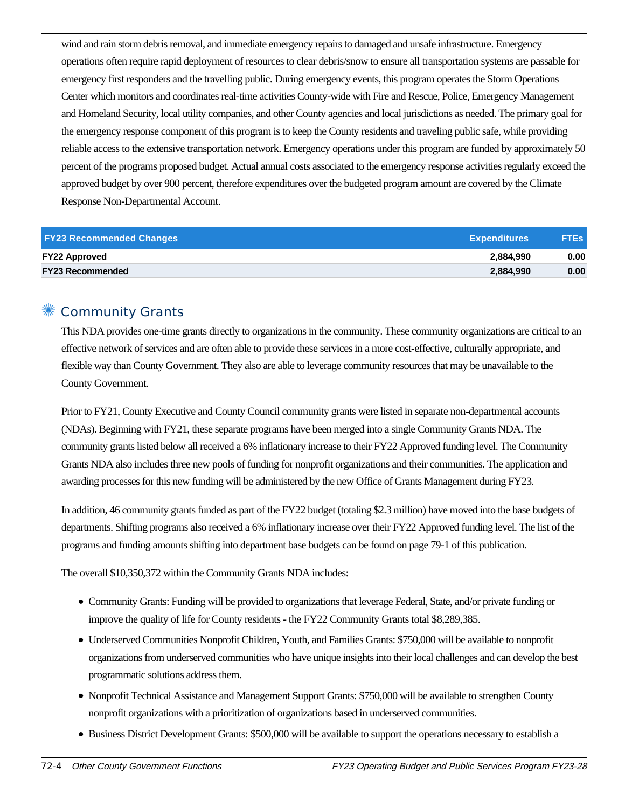wind and rain storm debris removal, and immediate emergency repairs to damaged and unsafe infrastructure. Emergency operations often require rapid deployment of resources to clear debris/snow to ensure all transportation systems are passable for emergency first responders and the travelling public. During emergency events, this program operates the Storm Operations Center which monitors and coordinates real-time activities County-wide with Fire and Rescue, Police, Emergency Management and Homeland Security, local utility companies, and other County agencies and local jurisdictions as needed. The primary goal for the emergency response component of this program is to keep the County residents and traveling public safe, while providing reliable access to the extensive transportation network. Emergency operations under this program are funded by approximately 50 percent of the programs proposed budget. Actual annual costs associated to the emergency response activities regularly exceed the approved budget by over 900 percent, therefore expenditures over the budgeted program amount are covered by the Climate Response Non-Departmental Account.

| <b>FY23 Recommended Changes</b> | <b>Expenditures</b> | <b>FTES</b> |
|---------------------------------|---------------------|-------------|
| <b>FY22 Approved</b>            | 2,884,990           | 0.00        |
| <b>FY23 Recommended</b>         | 2,884,990           | 0.00        |

#### Community Grants

This NDA provides one-time grants directly to organizations in the community. These community organizations are critical to an effective network of services and are often able to provide these services in a more cost-effective, culturally appropriate, and flexible way than County Government. They also are able to leverage community resources that may be unavailable to the County Government.

Prior to FY21, County Executive and County Council community grants were listed in separate non-departmental accounts (NDAs). Beginning with FY21, these separate programs have been merged into a single Community Grants NDA. The community grants listed below all received a 6% inflationary increase to their FY22 Approved funding level. The Community Grants NDA also includes three new pools of funding for nonprofit organizations and their communities. The application and awarding processes for this new funding will be administered by the new Office of Grants Management during FY23.

In addition, 46 community grants funded as part of the FY22 budget (totaling \$2.3 million) have moved into the base budgets of departments. Shifting programs also received a 6% inflationary increase over their FY22 Approved funding level. The list of the programs and funding amounts shifting into department base budgets can be found on page 79-1 of this publication.

The overall \$10,350,372 within the Community Grants NDA includes:

- Community Grants: Funding will be provided to organizations that leverage Federal, State, and/or private funding or improve the quality of life for County residents - the FY22 Community Grants total \$8,289,385.
- Underserved Communities Nonprofit Children, Youth, and Families Grants: \$750,000 will be available to nonprofit organizations from underserved communities who have unique insights into their local challenges and can develop the best programmatic solutions address them.
- Nonprofit Technical Assistance and Management Support Grants: \$750,000 will be available to strengthen County nonprofit organizations with a prioritization of organizations based in underserved communities.
- Business District Development Grants: \$500,000 will be available to support the operations necessary to establish a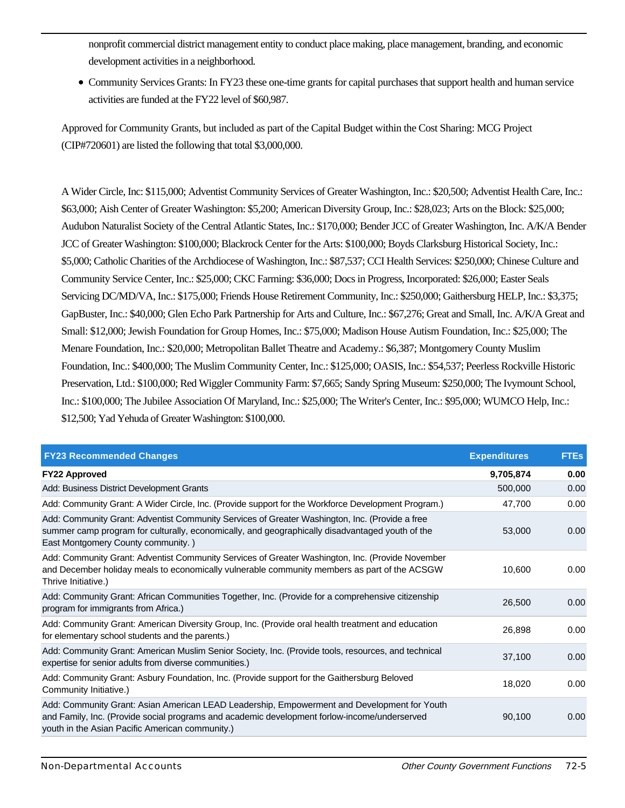nonprofit commercial district management entity to conduct place making, place management, branding, and economic development activities in a neighborhood.

Community Services Grants: In FY23 these one-time grants for capital purchases that support health and human service activities are funded at the FY22 level of \$60,987.

Approved for Community Grants, but included as part of the Capital Budget within the Cost Sharing: MCG Project (CIP#720601) are listed the following that total \$3,000,000.

A Wider Circle, Inc: \$115,000; Adventist Community Services of Greater Washington, Inc.: \$20,500; Adventist Health Care, Inc.: \$63,000; Aish Center of Greater Washington: \$5,200; American Diversity Group, Inc.: \$28,023; Arts on the Block: \$25,000; Audubon Naturalist Society of the Central Atlantic States, Inc.: \$170,000; Bender JCC of Greater Washington, Inc. A/K/A Bender JCC of Greater Washington: \$100,000; Blackrock Center for the Arts: \$100,000; Boyds Clarksburg Historical Society, Inc.: \$5,000; Catholic Charities of the Archdiocese of Washington, Inc.: \$87,537; CCI Health Services: \$250,000; Chinese Culture and Community Service Center, Inc.: \$25,000; CKC Farming: \$36,000; Docs in Progress, Incorporated: \$26,000; Easter Seals Servicing DC/MD/VA, Inc.: \$175,000; Friends House Retirement Community, Inc.: \$250,000; Gaithersburg HELP, Inc.: \$3,375; GapBuster, Inc.: \$40,000; Glen Echo Park Partnership for Arts and Culture, Inc.: \$67,276; Great and Small, Inc. A/K/A Great and Small: \$12,000; Jewish Foundation for Group Homes, Inc.: \$75,000; Madison House Autism Foundation, Inc.: \$25,000; The Menare Foundation, Inc.: \$20,000; Metropolitan Ballet Theatre and Academy.: \$6,387; Montgomery County Muslim Foundation, Inc.: \$400,000; The Muslim Community Center, Inc.: \$125,000; OASIS, Inc.: \$54,537; Peerless Rockville Historic Preservation, Ltd.: \$100,000; Red Wiggler Community Farm: \$7,665; Sandy Spring Museum: \$250,000; The Ivymount School, Inc.: \$100,000; The Jubilee Association Of Maryland, Inc.: \$25,000; The Writer's Center, Inc.: \$95,000; WUMCO Help, Inc.: \$12,500; Yad Yehuda of Greater Washington: \$100,000.

| <b>FY23 Recommended Changes</b>                                                                                                                                                                                                                | <b>Expenditures</b> | <b>FTEs</b> |
|------------------------------------------------------------------------------------------------------------------------------------------------------------------------------------------------------------------------------------------------|---------------------|-------------|
| <b>FY22 Approved</b>                                                                                                                                                                                                                           | 9,705,874           | 0.00        |
| Add: Business District Development Grants                                                                                                                                                                                                      | 500,000             | 0.00        |
| Add: Community Grant: A Wider Circle, Inc. (Provide support for the Workforce Development Program.)                                                                                                                                            | 47,700              | 0.00        |
| Add: Community Grant: Adventist Community Services of Greater Washington, Inc. (Provide a free<br>summer camp program for culturally, economically, and geographically disadvantaged youth of the<br>East Montgomery County community.)        | 53,000              | 0.00        |
| Add: Community Grant: Adventist Community Services of Greater Washington, Inc. (Provide November<br>and December holiday meals to economically vulnerable community members as part of the ACSGW<br>Thrive Initiative.)                        | 10.600              | 0.00        |
| Add: Community Grant: African Communities Together, Inc. (Provide for a comprehensive citizenship<br>program for immigrants from Africa.)                                                                                                      | 26,500              | 0.00        |
| Add: Community Grant: American Diversity Group, Inc. (Provide oral health treatment and education<br>for elementary school students and the parents.)                                                                                          | 26,898              | 0.00        |
| Add: Community Grant: American Muslim Senior Society, Inc. (Provide tools, resources, and technical<br>expertise for senior adults from diverse communities.)                                                                                  | 37,100              | 0.00        |
| Add: Community Grant: Asbury Foundation, Inc. (Provide support for the Gaithersburg Beloved<br>Community Initiative.)                                                                                                                          | 18.020              | 0.00        |
| Add: Community Grant: Asian American LEAD Leadership, Empowerment and Development for Youth<br>and Family, Inc. (Provide social programs and academic development forlow-income/underserved<br>youth in the Asian Pacific American community.) | 90,100              | 0.00        |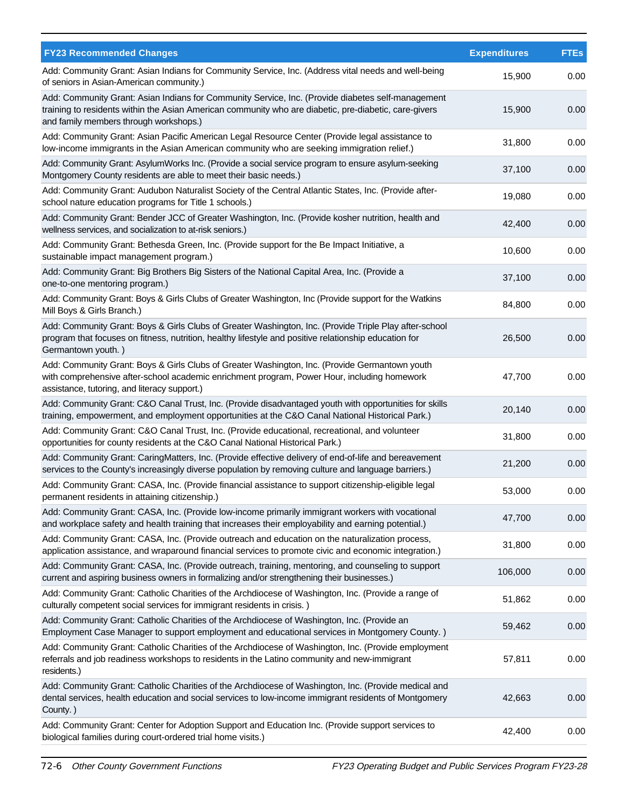| <b>FY23 Recommended Changes</b>                                                                                                                                                                                                                      | <b>Expenditures</b> | <b>FTEs</b> |
|------------------------------------------------------------------------------------------------------------------------------------------------------------------------------------------------------------------------------------------------------|---------------------|-------------|
| Add: Community Grant: Asian Indians for Community Service, Inc. (Address vital needs and well-being<br>of seniors in Asian-American community.)                                                                                                      | 15,900              | 0.00        |
| Add: Community Grant: Asian Indians for Community Service, Inc. (Provide diabetes self-management<br>training to residents within the Asian American community who are diabetic, pre-diabetic, care-givers<br>and family members through workshops.) | 15,900              | 0.00        |
| Add: Community Grant: Asian Pacific American Legal Resource Center (Provide legal assistance to<br>low-income immigrants in the Asian American community who are seeking immigration relief.)                                                        | 31,800              | 0.00        |
| Add: Community Grant: AsylumWorks Inc. (Provide a social service program to ensure asylum-seeking<br>Montgomery County residents are able to meet their basic needs.)                                                                                | 37,100              | 0.00        |
| Add: Community Grant: Audubon Naturalist Society of the Central Atlantic States, Inc. (Provide after-<br>school nature education programs for Title 1 schools.)                                                                                      | 19,080              | 0.00        |
| Add: Community Grant: Bender JCC of Greater Washington, Inc. (Provide kosher nutrition, health and<br>wellness services, and socialization to at-risk seniors.)                                                                                      | 42,400              | 0.00        |
| Add: Community Grant: Bethesda Green, Inc. (Provide support for the Be Impact Initiative, a<br>sustainable impact management program.)                                                                                                               | 10,600              | 0.00        |
| Add: Community Grant: Big Brothers Big Sisters of the National Capital Area, Inc. (Provide a<br>one-to-one mentoring program.)                                                                                                                       | 37,100              | 0.00        |
| Add: Community Grant: Boys & Girls Clubs of Greater Washington, Inc (Provide support for the Watkins<br>Mill Boys & Girls Branch.)                                                                                                                   | 84,800              | 0.00        |
| Add: Community Grant: Boys & Girls Clubs of Greater Washington, Inc. (Provide Triple Play after-school<br>program that focuses on fitness, nutrition, healthy lifestyle and positive relationship education for<br>Germantown youth.)                | 26,500              | 0.00        |
| Add: Community Grant: Boys & Girls Clubs of Greater Washington, Inc. (Provide Germantown youth<br>with comprehensive after-school academic enrichment program, Power Hour, including homework<br>assistance, tutoring, and literacy support.)        | 47,700              | 0.00        |
| Add: Community Grant: C&O Canal Trust, Inc. (Provide disadvantaged youth with opportunities for skills<br>training, empowerment, and employment opportunities at the C&O Canal National Historical Park.)                                            | 20,140              | 0.00        |
| Add: Community Grant: C&O Canal Trust, Inc. (Provide educational, recreational, and volunteer<br>opportunities for county residents at the C&O Canal National Historical Park.)                                                                      | 31,800              | 0.00        |
| Add: Community Grant: CaringMatters, Inc. (Provide effective delivery of end-of-life and bereavement<br>services to the County's increasingly diverse population by removing culture and language barriers.)                                         | 21,200              | 0.00        |
| Add: Community Grant: CASA, Inc. (Provide financial assistance to support citizenship-eligible legal<br>permanent residents in attaining citizenship.)                                                                                               | 53,000              | 0.00        |
| Add: Community Grant: CASA, Inc. (Provide low-income primarily immigrant workers with vocational<br>and workplace safety and health training that increases their employability and earning potential.)                                              | 47,700              | 0.00        |
| Add: Community Grant: CASA, Inc. (Provide outreach and education on the naturalization process,<br>application assistance, and wraparound financial services to promote civic and economic integration.)                                             | 31,800              | 0.00        |
| Add: Community Grant: CASA, Inc. (Provide outreach, training, mentoring, and counseling to support<br>current and aspiring business owners in formalizing and/or strengthening their businesses.)                                                    | 106,000             | 0.00        |
| Add: Community Grant: Catholic Charities of the Archdiocese of Washington, Inc. (Provide a range of<br>culturally competent social services for immigrant residents in crisis.)                                                                      | 51,862              | 0.00        |
| Add: Community Grant: Catholic Charities of the Archdiocese of Washington, Inc. (Provide an<br>Employment Case Manager to support employment and educational services in Montgomery County.)                                                         | 59,462              | 0.00        |
| Add: Community Grant: Catholic Charities of the Archdiocese of Washington, Inc. (Provide employment<br>referrals and job readiness workshops to residents in the Latino community and new-immigrant<br>residents.)                                   | 57,811              | 0.00        |
| Add: Community Grant: Catholic Charities of the Archdiocese of Washington, Inc. (Provide medical and<br>dental services, health education and social services to low-income immigrant residents of Montgomery<br>County.)                            | 42,663              | 0.00        |
| Add: Community Grant: Center for Adoption Support and Education Inc. (Provide support services to<br>biological families during court-ordered trial home visits.)                                                                                    | 42,400              | 0.00        |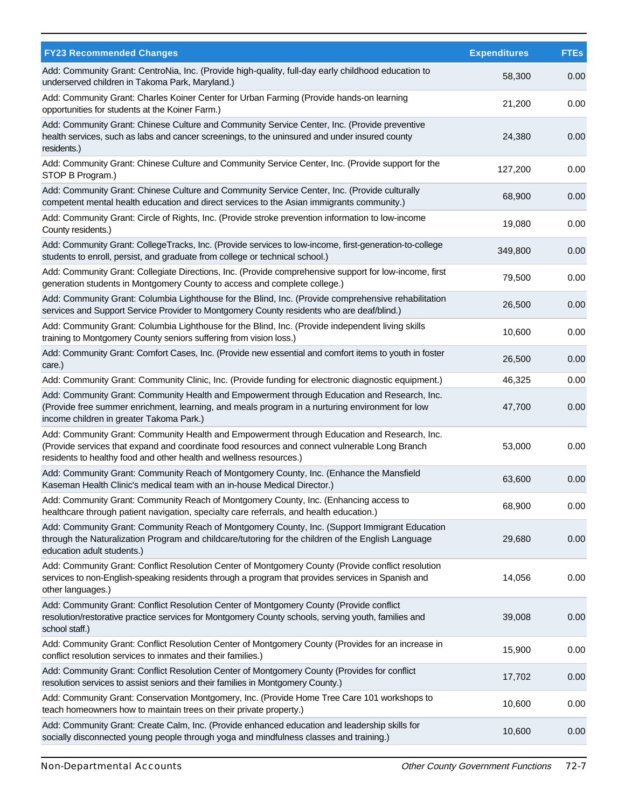| <b>FY23 Recommended Changes</b>                                                                                                                                                                                                                                      | <b>Expenditures</b> | <b>FTEs</b> |
|----------------------------------------------------------------------------------------------------------------------------------------------------------------------------------------------------------------------------------------------------------------------|---------------------|-------------|
| Add: Community Grant: CentroNia, Inc. (Provide high-quality, full-day early childhood education to<br>underserved children in Takoma Park, Maryland.)                                                                                                                | 58,300              | 0.00        |
| Add: Community Grant: Charles Koiner Center for Urban Farming (Provide hands-on learning<br>opportunities for students at the Koiner Farm.)                                                                                                                          | 21,200              | 0.00        |
| Add: Community Grant: Chinese Culture and Community Service Center, Inc. (Provide preventive<br>health services, such as labs and cancer screenings, to the uninsured and under insured county<br>residents.)                                                        | 24,380              | 0.00        |
| Add: Community Grant: Chinese Culture and Community Service Center, Inc. (Provide support for the<br>STOP B Program.)                                                                                                                                                | 127,200             | 0.00        |
| Add: Community Grant: Chinese Culture and Community Service Center, Inc. (Provide culturally<br>competent mental health education and direct services to the Asian immigrants community.)                                                                            | 68,900              | 0.00        |
| Add: Community Grant: Circle of Rights, Inc. (Provide stroke prevention information to low-income<br>County residents.)                                                                                                                                              | 19,080              | 0.00        |
| Add: Community Grant: CollegeTracks, Inc. (Provide services to low-income, first-generation-to-college<br>students to enroll, persist, and graduate from college or technical school.)                                                                               | 349,800             | 0.00        |
| Add: Community Grant: Collegiate Directions, Inc. (Provide comprehensive support for low-income, first<br>generation students in Montgomery County to access and complete college.)                                                                                  | 79,500              | 0.00        |
| Add: Community Grant: Columbia Lighthouse for the Blind, Inc. (Provide comprehensive rehabilitation<br>services and Support Service Provider to Montgomery County residents who are deaf/blind.)                                                                     | 26,500              | 0.00        |
| Add: Community Grant: Columbia Lighthouse for the Blind, Inc. (Provide independent living skills<br>training to Montgomery County seniors suffering from vision loss.)                                                                                               | 10,600              | 0.00        |
| Add: Community Grant: Comfort Cases, Inc. (Provide new essential and comfort items to youth in foster<br>care.)                                                                                                                                                      | 26,500              | 0.00        |
| Add: Community Grant: Community Clinic, Inc. (Provide funding for electronic diagnostic equipment.)                                                                                                                                                                  | 46,325              | 0.00        |
| Add: Community Grant: Community Health and Empowerment through Education and Research, Inc.<br>(Provide free summer enrichment, learning, and meals program in a nurturing environment for low<br>income children in greater Takoma Park.)                           | 47,700              | 0.00        |
| Add: Community Grant: Community Health and Empowerment through Education and Research, Inc.<br>(Provide services that expand and coordinate food resources and connect vulnerable Long Branch<br>residents to healthy food and other health and wellness resources.) | 53,000              | 0.00        |
| Add: Community Grant: Community Reach of Montgomery County, Inc. (Enhance the Mansfield<br>Kaseman Health Clinic's medical team with an in-house Medical Director.)                                                                                                  | 63,600              | 0.00        |
| Add: Community Grant: Community Reach of Montgomery County, Inc. (Enhancing access to<br>healthcare through patient navigation, specialty care referrals, and health education.)                                                                                     | 68,900              | 0.00        |
| Add: Community Grant: Community Reach of Montgomery County, Inc. (Support Immigrant Education<br>through the Naturalization Program and childcare/tutoring for the children of the English Language<br>education adult students.)                                    | 29,680              | 0.00        |
| Add: Community Grant: Conflict Resolution Center of Montgomery County (Provide conflict resolution<br>services to non-English-speaking residents through a program that provides services in Spanish and<br>other languages.)                                        | 14,056              | 0.00        |
| Add: Community Grant: Conflict Resolution Center of Montgomery County (Provide conflict<br>resolution/restorative practice services for Montgomery County schools, serving youth, families and<br>school staff.)                                                     | 39,008              | 0.00        |
| Add: Community Grant: Conflict Resolution Center of Montgomery County (Provides for an increase in<br>conflict resolution services to inmates and their families.)                                                                                                   | 15,900              | 0.00        |
| Add: Community Grant: Conflict Resolution Center of Montgomery County (Provides for conflict<br>resolution services to assist seniors and their families in Montgomery County.)                                                                                      | 17,702              | 0.00        |
| Add: Community Grant: Conservation Montgomery, Inc. (Provide Home Tree Care 101 workshops to<br>teach homeowners how to maintain trees on their private property.)                                                                                                   | 10,600              | 0.00        |
| Add: Community Grant: Create Calm, Inc. (Provide enhanced education and leadership skills for<br>socially disconnected young people through yoga and mindfulness classes and training.)                                                                              | 10,600              | 0.00        |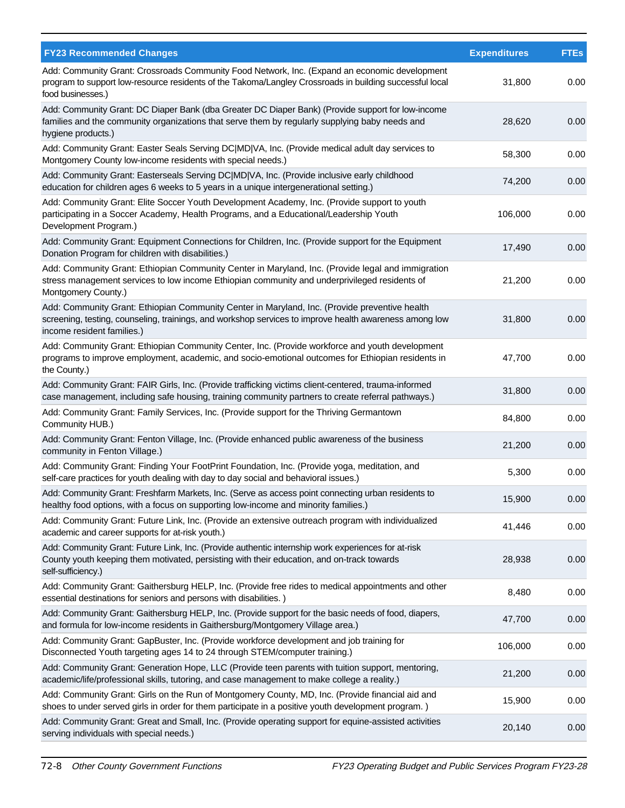| <b>FY23 Recommended Changes</b>                                                                                                                                                                                                       | <b>Expenditures</b> | <b>FTEs</b> |
|---------------------------------------------------------------------------------------------------------------------------------------------------------------------------------------------------------------------------------------|---------------------|-------------|
| Add: Community Grant: Crossroads Community Food Network, Inc. (Expand an economic development<br>program to support low-resource residents of the Takoma/Langley Crossroads in building successful local<br>food businesses.)         | 31,800              | 0.00        |
| Add: Community Grant: DC Diaper Bank (dba Greater DC Diaper Bank) (Provide support for low-income<br>families and the community organizations that serve them by regularly supplying baby needs and<br>hygiene products.)             | 28,620              | 0.00        |
| Add: Community Grant: Easter Seals Serving DC MD VA, Inc. (Provide medical adult day services to<br>Montgomery County low-income residents with special needs.)                                                                       | 58,300              | 0.00        |
| Add: Community Grant: Easterseals Serving DC MD VA, Inc. (Provide inclusive early childhood<br>education for children ages 6 weeks to 5 years in a unique intergenerational setting.)                                                 | 74,200              | 0.00        |
| Add: Community Grant: Elite Soccer Youth Development Academy, Inc. (Provide support to youth<br>participating in a Soccer Academy, Health Programs, and a Educational/Leadership Youth<br>Development Program.)                       | 106,000             | 0.00        |
| Add: Community Grant: Equipment Connections for Children, Inc. (Provide support for the Equipment<br>Donation Program for children with disabilities.)                                                                                | 17,490              | 0.00        |
| Add: Community Grant: Ethiopian Community Center in Maryland, Inc. (Provide legal and immigration<br>stress management services to low income Ethiopian community and underprivileged residents of<br>Montgomery County.)             | 21,200              | 0.00        |
| Add: Community Grant: Ethiopian Community Center in Maryland, Inc. (Provide preventive health<br>screening, testing, counseling, trainings, and workshop services to improve health awareness among low<br>income resident families.) | 31,800              | 0.00        |
| Add: Community Grant: Ethiopian Community Center, Inc. (Provide workforce and youth development<br>programs to improve employment, academic, and socio-emotional outcomes for Ethiopian residents in<br>the County.)                  | 47,700              | 0.00        |
| Add: Community Grant: FAIR Girls, Inc. (Provide trafficking victims client-centered, trauma-informed<br>case management, including safe housing, training community partners to create referral pathways.)                            | 31,800              | 0.00        |
| Add: Community Grant: Family Services, Inc. (Provide support for the Thriving Germantown<br>Community HUB.)                                                                                                                           | 84,800              | 0.00        |
| Add: Community Grant: Fenton Village, Inc. (Provide enhanced public awareness of the business<br>community in Fenton Village.)                                                                                                        | 21,200              | 0.00        |
| Add: Community Grant: Finding Your FootPrint Foundation, Inc. (Provide yoga, meditation, and<br>self-care practices for youth dealing with day to day social and behavioral issues.)                                                  | 5,300               | 0.00        |
| Add: Community Grant: Freshfarm Markets, Inc. (Serve as access point connecting urban residents to<br>healthy food options, with a focus on supporting low-income and minority families.)                                             | 15,900              | 0.00        |
| Add: Community Grant: Future Link, Inc. (Provide an extensive outreach program with individualized<br>academic and career supports for at-risk youth.)                                                                                | 41,446              | 0.00        |
| Add: Community Grant: Future Link, Inc. (Provide authentic internship work experiences for at-risk<br>County youth keeping them motivated, persisting with their education, and on-track towards<br>self-sufficiency.)                | 28,938              | 0.00        |
| Add: Community Grant: Gaithersburg HELP, Inc. (Provide free rides to medical appointments and other<br>essential destinations for seniors and persons with disabilities.)                                                             | 8,480               | 0.00        |
| Add: Community Grant: Gaithersburg HELP, Inc. (Provide support for the basic needs of food, diapers,<br>and formula for low-income residents in Gaithersburg/Montgomery Village area.)                                                | 47,700              | 0.00        |
| Add: Community Grant: GapBuster, Inc. (Provide workforce development and job training for<br>Disconnected Youth targeting ages 14 to 24 through STEM/computer training.)                                                              | 106,000             | 0.00        |
| Add: Community Grant: Generation Hope, LLC (Provide teen parents with tuition support, mentoring,<br>academic/life/professional skills, tutoring, and case management to make college a reality.)                                     | 21,200              | 0.00        |
| Add: Community Grant: Girls on the Run of Montgomery County, MD, Inc. (Provide financial aid and<br>shoes to under served girls in order for them participate in a positive youth development program.)                               | 15,900              | 0.00        |
| Add: Community Grant: Great and Small, Inc. (Provide operating support for equine-assisted activities<br>serving individuals with special needs.)                                                                                     | 20,140              | 0.00        |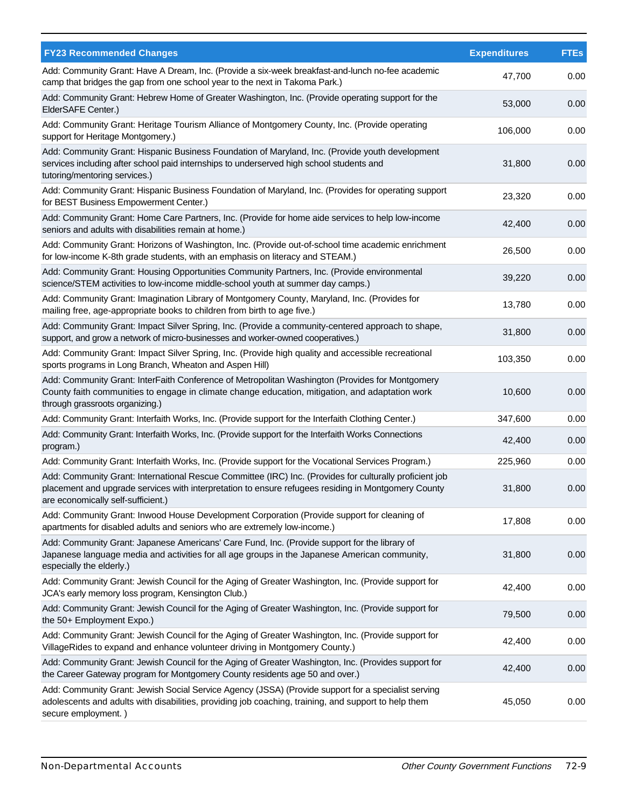| <b>FY23 Recommended Changes</b>                                                                                                                                                                                                                      | <b>Expenditures</b> | <b>FTEs</b> |
|------------------------------------------------------------------------------------------------------------------------------------------------------------------------------------------------------------------------------------------------------|---------------------|-------------|
| Add: Community Grant: Have A Dream, Inc. (Provide a six-week breakfast-and-lunch no-fee academic<br>camp that bridges the gap from one school year to the next in Takoma Park.)                                                                      | 47,700              | 0.00        |
| Add: Community Grant: Hebrew Home of Greater Washington, Inc. (Provide operating support for the<br>ElderSAFE Center.)                                                                                                                               | 53,000              | 0.00        |
| Add: Community Grant: Heritage Tourism Alliance of Montgomery County, Inc. (Provide operating<br>support for Heritage Montgomery.)                                                                                                                   | 106,000             | 0.00        |
| Add: Community Grant: Hispanic Business Foundation of Maryland, Inc. (Provide youth development<br>services including after school paid internships to underserved high school students and<br>tutoring/mentoring services.)                         | 31,800              | 0.00        |
| Add: Community Grant: Hispanic Business Foundation of Maryland, Inc. (Provides for operating support<br>for BEST Business Empowerment Center.)                                                                                                       | 23,320              | 0.00        |
| Add: Community Grant: Home Care Partners, Inc. (Provide for home aide services to help low-income<br>seniors and adults with disabilities remain at home.)                                                                                           | 42,400              | 0.00        |
| Add: Community Grant: Horizons of Washington, Inc. (Provide out-of-school time academic enrichment<br>for low-income K-8th grade students, with an emphasis on literacy and STEAM.)                                                                  | 26,500              | 0.00        |
| Add: Community Grant: Housing Opportunities Community Partners, Inc. (Provide environmental<br>science/STEM activities to low-income middle-school youth at summer day camps.)                                                                       | 39,220              | 0.00        |
| Add: Community Grant: Imagination Library of Montgomery County, Maryland, Inc. (Provides for<br>mailing free, age-appropriate books to children from birth to age five.)                                                                             | 13,780              | 0.00        |
| Add: Community Grant: Impact Silver Spring, Inc. (Provide a community-centered approach to shape,<br>support, and grow a network of micro-businesses and worker-owned cooperatives.)                                                                 | 31,800              | 0.00        |
| Add: Community Grant: Impact Silver Spring, Inc. (Provide high quality and accessible recreational<br>sports programs in Long Branch, Wheaton and Aspen Hill)                                                                                        | 103,350             | 0.00        |
| Add: Community Grant: InterFaith Conference of Metropolitan Washington (Provides for Montgomery<br>County faith communities to engage in climate change education, mitigation, and adaptation work<br>through grassroots organizing.)                | 10,600              | 0.00        |
| Add: Community Grant: Interfaith Works, Inc. (Provide support for the Interfaith Clothing Center.)                                                                                                                                                   | 347,600             | 0.00        |
| Add: Community Grant: Interfaith Works, Inc. (Provide support for the Interfaith Works Connections<br>program.)                                                                                                                                      | 42,400              | 0.00        |
| Add: Community Grant: Interfaith Works, Inc. (Provide support for the Vocational Services Program.)                                                                                                                                                  | 225,960             | 0.00        |
| Add: Community Grant: International Rescue Committee (IRC) Inc. (Provides for culturally proficient job<br>placement and upgrade services with interpretation to ensure refugees residing in Montgomery County<br>are economically self-sufficient.) | 31,800              | 0.00        |
| Add: Community Grant: Inwood House Development Corporation (Provide support for cleaning of<br>apartments for disabled adults and seniors who are extremely low-income.)                                                                             | 17,808              | 0.00        |
| Add: Community Grant: Japanese Americans' Care Fund, Inc. (Provide support for the library of<br>Japanese language media and activities for all age groups in the Japanese American community,<br>especially the elderly.)                           | 31,800              | 0.00        |
| Add: Community Grant: Jewish Council for the Aging of Greater Washington, Inc. (Provide support for<br>JCA's early memory loss program, Kensington Club.)                                                                                            | 42,400              | 0.00        |
| Add: Community Grant: Jewish Council for the Aging of Greater Washington, Inc. (Provide support for<br>the 50+ Employment Expo.)                                                                                                                     | 79,500              | 0.00        |
| Add: Community Grant: Jewish Council for the Aging of Greater Washington, Inc. (Provide support for<br>VillageRides to expand and enhance volunteer driving in Montgomery County.)                                                                   | 42,400              | 0.00        |
| Add: Community Grant: Jewish Council for the Aging of Greater Washington, Inc. (Provides support for<br>the Career Gateway program for Montgomery County residents age 50 and over.)                                                                 | 42,400              | 0.00        |
| Add: Community Grant: Jewish Social Service Agency (JSSA) (Provide support for a specialist serving<br>adolescents and adults with disabilities, providing job coaching, training, and support to help them<br>secure employment.)                   | 45,050              | 0.00        |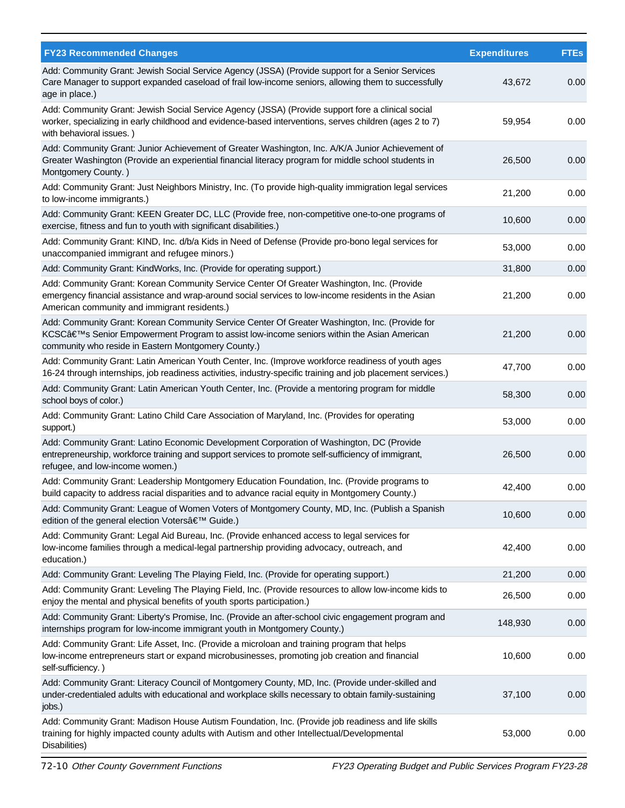| <b>FY23 Recommended Changes</b>                                                                                                                                                                                                                   | <b>Expenditures</b> | <b>FTEs</b> |
|---------------------------------------------------------------------------------------------------------------------------------------------------------------------------------------------------------------------------------------------------|---------------------|-------------|
| Add: Community Grant: Jewish Social Service Agency (JSSA) (Provide support for a Senior Services<br>Care Manager to support expanded caseload of frail low-income seniors, allowing them to successfully<br>age in place.)                        | 43,672              | 0.00        |
| Add: Community Grant: Jewish Social Service Agency (JSSA) (Provide support fore a clinical social<br>worker, specializing in early childhood and evidence-based interventions, serves children (ages 2 to 7)<br>with behavioral issues.)          | 59,954              | 0.00        |
| Add: Community Grant: Junior Achievement of Greater Washington, Inc. A/K/A Junior Achievement of<br>Greater Washington (Provide an experiential financial literacy program for middle school students in<br>Montgomery County.)                   | 26,500              | 0.00        |
| Add: Community Grant: Just Neighbors Ministry, Inc. (To provide high-quality immigration legal services<br>to low-income immigrants.)                                                                                                             | 21,200              | 0.00        |
| Add: Community Grant: KEEN Greater DC, LLC (Provide free, non-competitive one-to-one programs of<br>exercise, fitness and fun to youth with significant disabilities.)                                                                            | 10,600              | 0.00        |
| Add: Community Grant: KIND, Inc. d/b/a Kids in Need of Defense (Provide pro-bono legal services for<br>unaccompanied immigrant and refugee minors.)                                                                                               | 53,000              | 0.00        |
| Add: Community Grant: KindWorks, Inc. (Provide for operating support.)                                                                                                                                                                            | 31,800              | 0.00        |
| Add: Community Grant: Korean Community Service Center Of Greater Washington, Inc. (Provide<br>emergency financial assistance and wrap-around social services to low-income residents in the Asian<br>American community and immigrant residents.) | 21,200              | 0.00        |
| Add: Community Grant: Korean Community Service Center Of Greater Washington, Inc. (Provide for<br>KCSC's Senior Empowerment Program to assist low-income seniors within the Asian American<br>community who reside in Eastern Montgomery County.) | 21,200              | 0.00        |
| Add: Community Grant: Latin American Youth Center, Inc. (Improve workforce readiness of youth ages<br>16-24 through internships, job readiness activities, industry-specific training and job placement services.)                                | 47,700              | 0.00        |
| Add: Community Grant: Latin American Youth Center, Inc. (Provide a mentoring program for middle<br>school boys of color.)                                                                                                                         | 58,300              | 0.00        |
| Add: Community Grant: Latino Child Care Association of Maryland, Inc. (Provides for operating<br>support.)                                                                                                                                        | 53,000              | 0.00        |
| Add: Community Grant: Latino Economic Development Corporation of Washington, DC (Provide<br>entrepreneurship, workforce training and support services to promote self-sufficiency of immigrant,<br>refugee, and low-income women.)                | 26,500              | 0.00        |
| Add: Community Grant: Leadership Montgomery Education Foundation, Inc. (Provide programs to<br>build capacity to address racial disparities and to advance racial equity in Montgomery County.)                                                   | 42,400              | 0.00        |
| Add: Community Grant: League of Women Voters of Montgomery County, MD, Inc. (Publish a Spanish<br>edition of the general election Voters' Guide.)                                                                                                 | 10,600              | 0.00        |
| Add: Community Grant: Legal Aid Bureau, Inc. (Provide enhanced access to legal services for<br>low-income families through a medical-legal partnership providing advocacy, outreach, and<br>education.)                                           | 42,400              | 0.00        |
| Add: Community Grant: Leveling The Playing Field, Inc. (Provide for operating support.)                                                                                                                                                           | 21,200              | 0.00        |
| Add: Community Grant: Leveling The Playing Field, Inc. (Provide resources to allow low-income kids to<br>enjoy the mental and physical benefits of youth sports participation.)                                                                   | 26,500              | 0.00        |
| Add: Community Grant: Liberty's Promise, Inc. (Provide an after-school civic engagement program and<br>internships program for low-income immigrant youth in Montgomery County.)                                                                  | 148,930             | 0.00        |
| Add: Community Grant: Life Asset, Inc. (Provide a microloan and training program that helps<br>low-income entrepreneurs start or expand microbusinesses, promoting job creation and financial<br>self-sufficiency.)                               | 10,600              | 0.00        |
| Add: Community Grant: Literacy Council of Montgomery County, MD, Inc. (Provide under-skilled and<br>under-credentialed adults with educational and workplace skills necessary to obtain family-sustaining<br>jobs.)                               | 37,100              | 0.00        |
| Add: Community Grant: Madison House Autism Foundation, Inc. (Provide job readiness and life skills<br>training for highly impacted county adults with Autism and other Intellectual/Developmental<br>Disabilities)                                | 53,000              | 0.00        |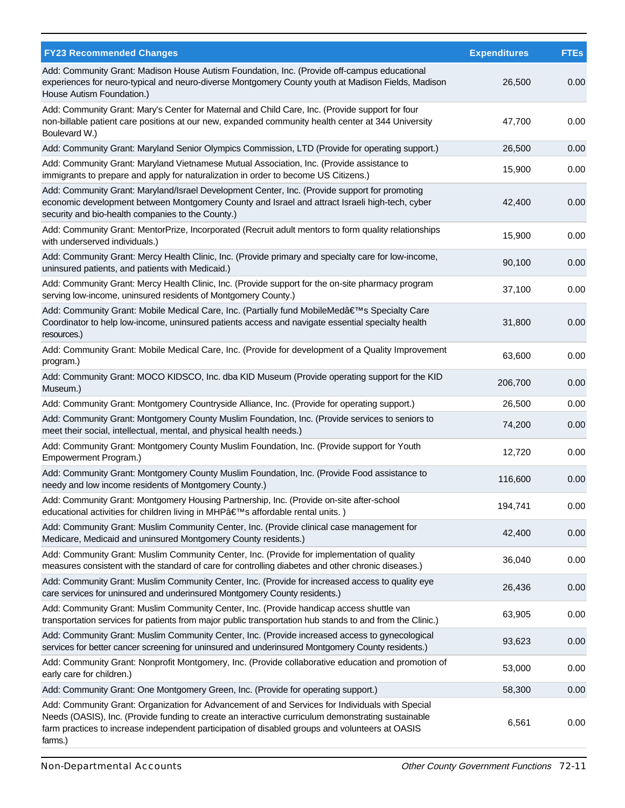| <b>FY23 Recommended Changes</b>                                                                                                                                                                                                                                                                                     | <b>Expenditures</b> | <b>FTEs</b> |
|---------------------------------------------------------------------------------------------------------------------------------------------------------------------------------------------------------------------------------------------------------------------------------------------------------------------|---------------------|-------------|
| Add: Community Grant: Madison House Autism Foundation, Inc. (Provide off-campus educational<br>experiences for neuro-typical and neuro-diverse Montgomery County youth at Madison Fields, Madison<br>House Autism Foundation.)                                                                                      | 26,500              | 0.00        |
| Add: Community Grant: Mary's Center for Maternal and Child Care, Inc. (Provide support for four<br>non-billable patient care positions at our new, expanded community health center at 344 University<br>Boulevard W.)                                                                                              | 47,700              | 0.00        |
| Add: Community Grant: Maryland Senior Olympics Commission, LTD (Provide for operating support.)                                                                                                                                                                                                                     | 26,500              | 0.00        |
| Add: Community Grant: Maryland Vietnamese Mutual Association, Inc. (Provide assistance to<br>immigrants to prepare and apply for naturalization in order to become US Citizens.)                                                                                                                                    | 15,900              | 0.00        |
| Add: Community Grant: Maryland/Israel Development Center, Inc. (Provide support for promoting<br>economic development between Montgomery County and Israel and attract Israeli high-tech, cyber<br>security and bio-health companies to the County.)                                                                | 42,400              | 0.00        |
| Add: Community Grant: MentorPrize, Incorporated (Recruit adult mentors to form quality relationships<br>with underserved individuals.)                                                                                                                                                                              | 15,900              | 0.00        |
| Add: Community Grant: Mercy Health Clinic, Inc. (Provide primary and specialty care for low-income,<br>uninsured patients, and patients with Medicaid.)                                                                                                                                                             | 90,100              | 0.00        |
| Add: Community Grant: Mercy Health Clinic, Inc. (Provide support for the on-site pharmacy program<br>serving low-income, uninsured residents of Montgomery County.)                                                                                                                                                 | 37,100              | 0.00        |
| Add: Community Grant: Mobile Medical Care, Inc. (Partially fund MobileMed's Specialty Care<br>Coordinator to help low-income, uninsured patients access and navigate essential specialty health<br>resources.)                                                                                                      | 31,800              | 0.00        |
| Add: Community Grant: Mobile Medical Care, Inc. (Provide for development of a Quality Improvement<br>program.)                                                                                                                                                                                                      | 63,600              | 0.00        |
| Add: Community Grant: MOCO KIDSCO, Inc. dba KID Museum (Provide operating support for the KID<br>Museum.)                                                                                                                                                                                                           | 206,700             | 0.00        |
| Add: Community Grant: Montgomery Countryside Alliance, Inc. (Provide for operating support.)                                                                                                                                                                                                                        | 26,500              | 0.00        |
| Add: Community Grant: Montgomery County Muslim Foundation, Inc. (Provide services to seniors to<br>meet their social, intellectual, mental, and physical health needs.)                                                                                                                                             | 74,200              | 0.00        |
| Add: Community Grant: Montgomery County Muslim Foundation, Inc. (Provide support for Youth<br>Empowerment Program.)                                                                                                                                                                                                 | 12,720              | 0.00        |
| Add: Community Grant: Montgomery County Muslim Foundation, Inc. (Provide Food assistance to<br>needy and low income residents of Montgomery County.)                                                                                                                                                                | 116,600             | 0.00        |
| Add: Community Grant: Montgomery Housing Partnership, Inc. (Provide on-site after-school<br>educational activities for children living in MHP's affordable rental units.)                                                                                                                                           | 194,741             | 0.00        |
| Add: Community Grant: Muslim Community Center, Inc. (Provide clinical case management for<br>Medicare, Medicaid and uninsured Montgomery County residents.)                                                                                                                                                         | 42,400              | 0.00        |
| Add: Community Grant: Muslim Community Center, Inc. (Provide for implementation of quality<br>measures consistent with the standard of care for controlling diabetes and other chronic diseases.)                                                                                                                   | 36,040              | 0.00        |
| Add: Community Grant: Muslim Community Center, Inc. (Provide for increased access to quality eye<br>care services for uninsured and underinsured Montgomery County residents.)                                                                                                                                      | 26,436              | 0.00        |
| Add: Community Grant: Muslim Community Center, Inc. (Provide handicap access shuttle van<br>transportation services for patients from major public transportation hub stands to and from the Clinic.)                                                                                                               | 63,905              | 0.00        |
| Add: Community Grant: Muslim Community Center, Inc. (Provide increased access to gynecological<br>services for better cancer screening for uninsured and underinsured Montgomery County residents.)                                                                                                                 | 93,623              | 0.00        |
| Add: Community Grant: Nonprofit Montgomery, Inc. (Provide collaborative education and promotion of<br>early care for children.)                                                                                                                                                                                     | 53,000              | 0.00        |
| Add: Community Grant: One Montgomery Green, Inc. (Provide for operating support.)                                                                                                                                                                                                                                   | 58,300              | 0.00        |
| Add: Community Grant: Organization for Advancement of and Services for Individuals with Special<br>Needs (OASIS), Inc. (Provide funding to create an interactive curriculum demonstrating sustainable<br>farm practices to increase independent participation of disabled groups and volunteers at OASIS<br>farms.) | 6,561               | 0.00        |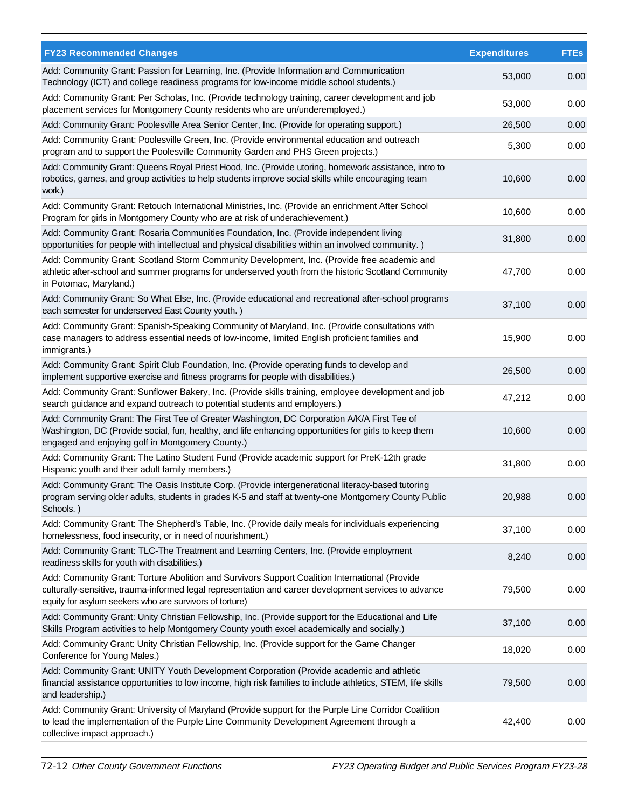| <b>FY23 Recommended Changes</b>                                                                                                                                                                                                                                    | <b>Expenditures</b> | <b>FTEs</b> |
|--------------------------------------------------------------------------------------------------------------------------------------------------------------------------------------------------------------------------------------------------------------------|---------------------|-------------|
| Add: Community Grant: Passion for Learning, Inc. (Provide Information and Communication<br>Technology (ICT) and college readiness programs for low-income middle school students.)                                                                                 | 53,000              | 0.00        |
| Add: Community Grant: Per Scholas, Inc. (Provide technology training, career development and job<br>placement services for Montgomery County residents who are un/underemployed.)                                                                                  | 53,000              | 0.00        |
| Add: Community Grant: Poolesville Area Senior Center, Inc. (Provide for operating support.)                                                                                                                                                                        | 26,500              | 0.00        |
| Add: Community Grant: Poolesville Green, Inc. (Provide environmental education and outreach<br>program and to support the Poolesville Community Garden and PHS Green projects.)                                                                                    | 5,300               | 0.00        |
| Add: Community Grant: Queens Royal Priest Hood, Inc. (Provide utoring, homework assistance, intro to<br>robotics, games, and group activities to help students improve social skills while encouraging team<br>work.)                                              | 10,600              | 0.00        |
| Add: Community Grant: Retouch International Ministries, Inc. (Provide an enrichment After School<br>Program for girls in Montgomery County who are at risk of underachievement.)                                                                                   | 10,600              | 0.00        |
| Add: Community Grant: Rosaria Communities Foundation, Inc. (Provide independent living<br>opportunities for people with intellectual and physical disabilities within an involved community.)                                                                      | 31,800              | 0.00        |
| Add: Community Grant: Scotland Storm Community Development, Inc. (Provide free academic and<br>athletic after-school and summer programs for underserved youth from the historic Scotland Community<br>in Potomac, Maryland.)                                      | 47,700              | 0.00        |
| Add: Community Grant: So What Else, Inc. (Provide educational and recreational after-school programs<br>each semester for underserved East County youth.)                                                                                                          | 37,100              | 0.00        |
| Add: Community Grant: Spanish-Speaking Community of Maryland, Inc. (Provide consultations with<br>case managers to address essential needs of low-income, limited English proficient families and<br>immigrants.)                                                  | 15,900              | 0.00        |
| Add: Community Grant: Spirit Club Foundation, Inc. (Provide operating funds to develop and<br>implement supportive exercise and fitness programs for people with disabilities.)                                                                                    | 26,500              | 0.00        |
| Add: Community Grant: Sunflower Bakery, Inc. (Provide skills training, employee development and job<br>search guidance and expand outreach to potential students and employers.)                                                                                   | 47,212              | 0.00        |
| Add: Community Grant: The First Tee of Greater Washington, DC Corporation A/K/A First Tee of<br>Washington, DC (Provide social, fun, healthy, and life enhancing opportunities for girls to keep them<br>engaged and enjoying golf in Montgomery County.)          | 10,600              | 0.00        |
| Add: Community Grant: The Latino Student Fund (Provide academic support for PreK-12th grade<br>Hispanic youth and their adult family members.)                                                                                                                     | 31,800              | 0.00        |
| Add: Community Grant: The Oasis Institute Corp. (Provide intergenerational literacy-based tutoring<br>program serving older adults, students in grades K-5 and staff at twenty-one Montgomery County Public<br>Schools.)                                           | 20,988              | 0.00        |
| Add: Community Grant: The Shepherd's Table, Inc. (Provide daily meals for individuals experiencing<br>homelessness, food insecurity, or in need of nourishment.)                                                                                                   | 37,100              | 0.00        |
| Add: Community Grant: TLC-The Treatment and Learning Centers, Inc. (Provide employment<br>readiness skills for youth with disabilities.)                                                                                                                           | 8,240               | 0.00        |
| Add: Community Grant: Torture Abolition and Survivors Support Coalition International (Provide<br>culturally-sensitive, trauma-informed legal representation and career development services to advance<br>equity for asylum seekers who are survivors of torture) | 79,500              | 0.00        |
| Add: Community Grant: Unity Christian Fellowship, Inc. (Provide support for the Educational and Life<br>Skills Program activities to help Montgomery County youth excel academically and socially.)                                                                | 37,100              | 0.00        |
| Add: Community Grant: Unity Christian Fellowship, Inc. (Provide support for the Game Changer<br>Conference for Young Males.)                                                                                                                                       | 18,020              | 0.00        |
| Add: Community Grant: UNITY Youth Development Corporation (Provide academic and athletic<br>financial assistance opportunities to low income, high risk families to include athletics, STEM, life skills<br>and leadership.)                                       | 79,500              | 0.00        |
| Add: Community Grant: University of Maryland (Provide support for the Purple Line Corridor Coalition<br>to lead the implementation of the Purple Line Community Development Agreement through a<br>collective impact approach.)                                    | 42,400              | 0.00        |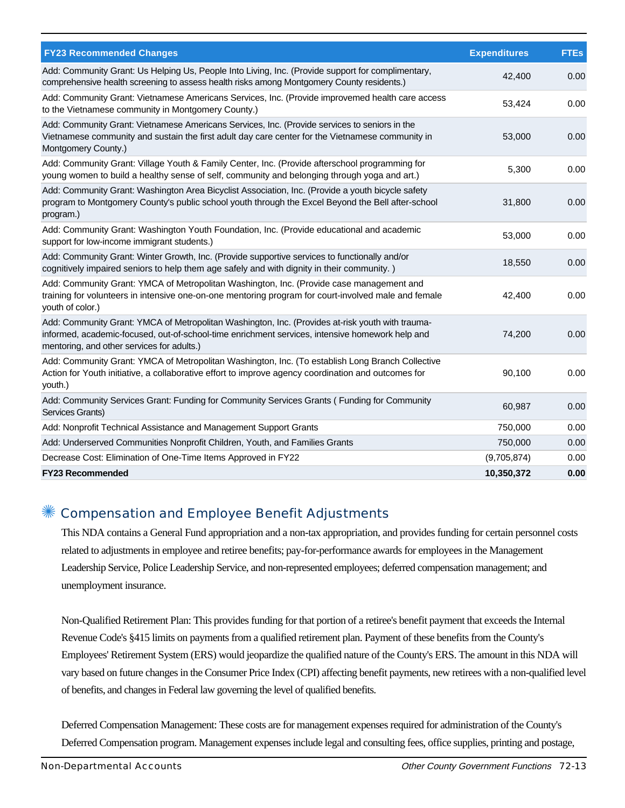| <b>FY23 Recommended Changes</b>                                                                                                                                                                                                                   | <b>Expenditures</b> | <b>FTEs</b> |
|---------------------------------------------------------------------------------------------------------------------------------------------------------------------------------------------------------------------------------------------------|---------------------|-------------|
| Add: Community Grant: Us Helping Us, People Into Living, Inc. (Provide support for complimentary,<br>comprehensive health screening to assess health risks among Montgomery County residents.)                                                    | 42,400              | 0.00        |
| Add: Community Grant: Vietnamese Americans Services, Inc. (Provide improvemed health care access<br>to the Vietnamese community in Montgomery County.)                                                                                            | 53,424              | 0.00        |
| Add: Community Grant: Vietnamese Americans Services, Inc. (Provide services to seniors in the<br>Vietnamese community and sustain the first adult day care center for the Vietnamese community in<br>Montgomery County.)                          | 53,000              | 0.00        |
| Add: Community Grant: Village Youth & Family Center, Inc. (Provide afterschool programming for<br>young women to build a healthy sense of self, community and belonging through yoga and art.)                                                    | 5,300               | 0.00        |
| Add: Community Grant: Washington Area Bicyclist Association, Inc. (Provide a youth bicycle safety<br>program to Montgomery County's public school youth through the Excel Beyond the Bell after-school<br>program.)                               | 31,800              | 0.00        |
| Add: Community Grant: Washington Youth Foundation, Inc. (Provide educational and academic<br>support for low-income immigrant students.)                                                                                                          | 53,000              | 0.00        |
| Add: Community Grant: Winter Growth, Inc. (Provide supportive services to functionally and/or<br>cognitively impaired seniors to help them age safely and with dignity in their community.)                                                       | 18,550              | 0.00        |
| Add: Community Grant: YMCA of Metropolitan Washington, Inc. (Provide case management and<br>training for volunteers in intensive one-on-one mentoring program for court-involved male and female<br>youth of color.)                              | 42,400              | 0.00        |
| Add: Community Grant: YMCA of Metropolitan Washington, Inc. (Provides at-risk youth with trauma-<br>informed, academic-focused, out-of-school-time enrichment services, intensive homework help and<br>mentoring, and other services for adults.) | 74,200              | 0.00        |
| Add: Community Grant: YMCA of Metropolitan Washington, Inc. (To establish Long Branch Collective<br>Action for Youth initiative, a collaborative effort to improve agency coordination and outcomes for<br>youth.)                                | 90,100              | 0.00        |
| Add: Community Services Grant: Funding for Community Services Grants (Funding for Community<br>Services Grants)                                                                                                                                   | 60,987              | 0.00        |
| Add: Nonprofit Technical Assistance and Management Support Grants                                                                                                                                                                                 | 750,000             | 0.00        |
| Add: Underserved Communities Nonprofit Children, Youth, and Families Grants                                                                                                                                                                       | 750,000             | 0.00        |
| Decrease Cost: Elimination of One-Time Items Approved in FY22                                                                                                                                                                                     | (9,705,874)         | 0.00        |
| <b>FY23 Recommended</b>                                                                                                                                                                                                                           | 10,350,372          | 0.00        |

#### ✺ Compensation and Employee Benefit Adjustments

This NDA contains a General Fund appropriation and a non-tax appropriation, and provides funding for certain personnel costs related to adjustments in employee and retiree benefits; pay-for-performance awards for employees in the Management Leadership Service, Police Leadership Service, and non-represented employees; deferred compensation management; and unemployment insurance.

Non-Qualified Retirement Plan: This provides funding for that portion of a retiree's benefit payment that exceeds the Internal Revenue Code's §415 limits on payments from a qualified retirement plan. Payment of these benefits from the County's Employees' Retirement System (ERS) would jeopardize the qualified nature of the County's ERS. The amount in this NDA will vary based on future changes in the Consumer Price Index (CPI) affecting benefit payments, new retirees with a non-qualified level of benefits, and changes in Federal law governing the level of qualified benefits.

Deferred Compensation Management: These costs are for management expenses required for administration of the County's Deferred Compensation program. Management expenses include legal and consulting fees, office supplies, printing and postage,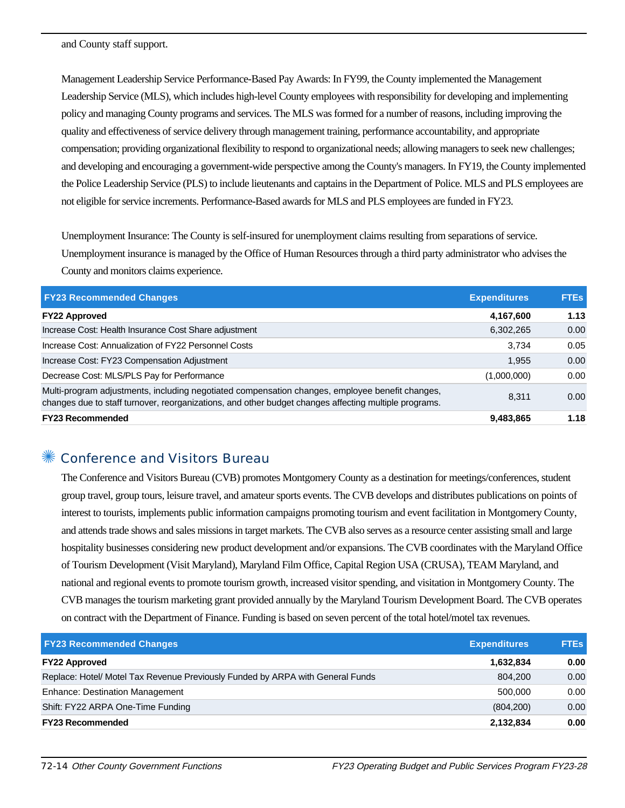and County staff support.

Management Leadership Service Performance-Based Pay Awards: In FY99, the County implemented the Management Leadership Service (MLS), which includes high-level County employees with responsibility for developing and implementing policy and managing County programs and services. The MLS was formed for a number of reasons, including improving the quality and effectiveness of service delivery through management training, performance accountability, and appropriate compensation; providing organizational flexibility to respond to organizational needs; allowing managers to seek new challenges; and developing and encouraging a government-wide perspective among the County's managers. In FY19, the County implemented the Police Leadership Service (PLS) to include lieutenants and captains in the Department of Police. MLS and PLS employees are not eligible for service increments. Performance-Based awards for MLS and PLS employees are funded in FY23.

Unemployment Insurance: The County is self-insured for unemployment claims resulting from separations of service. Unemployment insurance is managed by the Office of Human Resources through a third party administrator who advises the County and monitors claims experience.

| <b>FY23 Recommended Changes</b>                                                                                                                                                                          | <b>Expenditures</b> | <b>FTEs</b> |
|----------------------------------------------------------------------------------------------------------------------------------------------------------------------------------------------------------|---------------------|-------------|
| <b>FY22 Approved</b>                                                                                                                                                                                     | 4,167,600           | 1.13        |
| Increase Cost: Health Insurance Cost Share adjustment                                                                                                                                                    | 6,302,265           | 0.00        |
| Increase Cost: Annualization of FY22 Personnel Costs                                                                                                                                                     | 3.734               | 0.05        |
| Increase Cost: FY23 Compensation Adjustment                                                                                                                                                              | 1,955               | 0.00        |
| Decrease Cost: MLS/PLS Pay for Performance                                                                                                                                                               | (1,000,000)         | 0.00        |
| Multi-program adjustments, including negotiated compensation changes, employee benefit changes,<br>changes due to staff turnover, reorganizations, and other budget changes affecting multiple programs. | 8.311               | 0.00        |
| <b>FY23 Recommended</b>                                                                                                                                                                                  | 9,483,865           | 1.18        |

#### Conference and Visitors Bureau

The Conference and Visitors Bureau (CVB) promotes Montgomery County as a destination for meetings/conferences, student group travel, group tours, leisure travel, and amateur sports events. The CVB develops and distributes publications on points of interest to tourists, implements public information campaigns promoting tourism and event facilitation in Montgomery County, and attends trade shows and sales missions in target markets. The CVB also serves as a resource center assisting small and large hospitality businesses considering new product development and/or expansions. The CVB coordinates with the Maryland Office of Tourism Development (Visit Maryland), Maryland Film Office, Capital Region USA (CRUSA), TEAM Maryland, and national and regional events to promote tourism growth, increased visitor spending, and visitation in Montgomery County. The CVB manages the tourism marketing grant provided annually by the Maryland Tourism Development Board. The CVB operates on contract with the Department of Finance. Funding is based on seven percent of the total hotel/motel tax revenues.

| <b>FY23 Recommended Changes</b>                                                | <b>Expenditures</b> | <b>FTEs</b> |
|--------------------------------------------------------------------------------|---------------------|-------------|
| <b>FY22 Approved</b>                                                           | 1,632,834           | 0.00        |
| Replace: Hotel/ Motel Tax Revenue Previously Funded by ARPA with General Funds | 804.200             | 0.00        |
| <b>Enhance: Destination Management</b>                                         | 500.000             | 0.00        |
| Shift: FY22 ARPA One-Time Funding                                              | (804, 200)          | 0.00        |
| <b>FY23 Recommended</b>                                                        | 2,132,834           | 0.00        |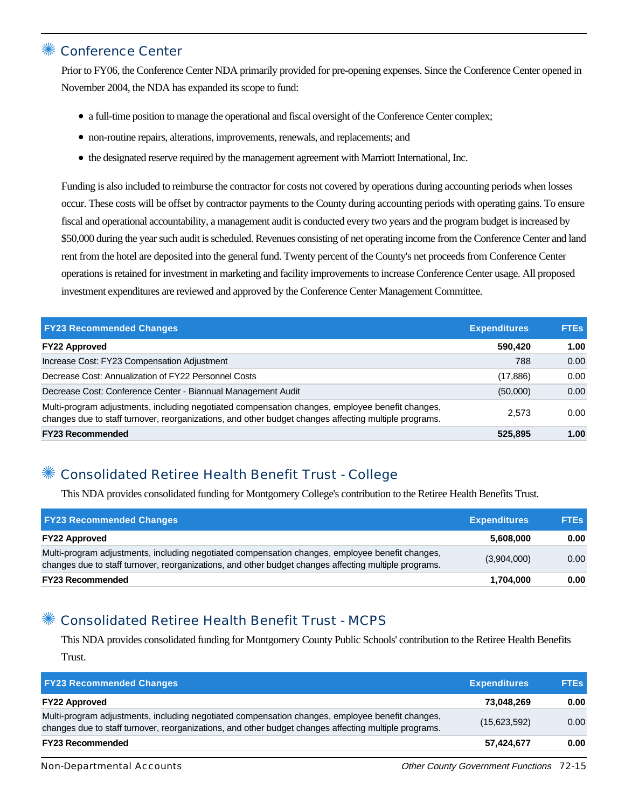## ✺ Conference Center

Prior to FY06, the Conference Center NDA primarily provided for pre-opening expenses. Since the Conference Center opened in November 2004, the NDA has expanded its scope to fund:

- a full-time position to manage the operational and fiscal oversight of the Conference Center complex;
- non-routine repairs, alterations, improvements, renewals, and replacements; and
- the designated reserve required by the management agreement with Marriott International, Inc.

Funding is also included to reimburse the contractor for costs not covered by operations during accounting periods when losses occur. These costs will be offset by contractor payments to the County during accounting periods with operating gains. To ensure fiscal and operational accountability, a management audit is conducted every two years and the program budget is increased by \$50,000 during the year such audit is scheduled. Revenues consisting of net operating income from the Conference Center and land rent from the hotel are deposited into the general fund. Twenty percent of the County's net proceeds from Conference Center operations is retained for investment in marketing and facility improvements to increase Conference Center usage. All proposed investment expenditures are reviewed and approved by the Conference Center Management Committee.

| <b>FY23 Recommended Changes</b>                                                                                                                                                                          | <b>Expenditures</b> | <b>FTEs</b> |
|----------------------------------------------------------------------------------------------------------------------------------------------------------------------------------------------------------|---------------------|-------------|
| <b>FY22 Approved</b>                                                                                                                                                                                     | 590,420             | 1.00        |
| Increase Cost: FY23 Compensation Adjustment                                                                                                                                                              | 788                 | 0.00        |
| Decrease Cost: Annualization of FY22 Personnel Costs                                                                                                                                                     | (17, 886)           | 0.00        |
| Decrease Cost: Conference Center - Biannual Management Audit                                                                                                                                             | (50,000)            | 0.00        |
| Multi-program adjustments, including negotiated compensation changes, employee benefit changes,<br>changes due to staff turnover, reorganizations, and other budget changes affecting multiple programs. | 2.573               | 0.00        |
| <b>FY23 Recommended</b>                                                                                                                                                                                  | 525,895             | 1.00        |

## ✺ Consolidated Retiree Health Benefit Trust - College

This NDA provides consolidated funding for Montgomery College's contribution to the Retiree Health Benefits Trust.

| <b>FY23 Recommended Changes</b>                                                                                                                                                                          | <b>Expenditures</b> | <b>FTEs</b> |
|----------------------------------------------------------------------------------------------------------------------------------------------------------------------------------------------------------|---------------------|-------------|
| <b>FY22 Approved</b>                                                                                                                                                                                     | 5,608,000           | 0.00        |
| Multi-program adjustments, including negotiated compensation changes, employee benefit changes,<br>changes due to staff turnover, reorganizations, and other budget changes affecting multiple programs. | (3,904,000)         | 0.00        |
| <b>FY23 Recommended</b>                                                                                                                                                                                  | 1,704,000           | 0.00        |

## ✺ Consolidated Retiree Health Benefit Trust - MCPS

This NDA provides consolidated funding for Montgomery County Public Schools' contribution to the Retiree Health Benefits Trust.

| <b>FY23 Recommended Changes</b>                                                                                                                                                                          | <b>Expenditures</b> | <b>FTEs</b> |
|----------------------------------------------------------------------------------------------------------------------------------------------------------------------------------------------------------|---------------------|-------------|
| <b>FY22 Approved</b>                                                                                                                                                                                     | 73.048.269          | 0.00        |
| Multi-program adjustments, including negotiated compensation changes, employee benefit changes,<br>changes due to staff turnover, reorganizations, and other budget changes affecting multiple programs. | (15,623,592)        | 0.00        |
| <b>FY23 Recommended</b>                                                                                                                                                                                  | 57,424,677          | 0.00        |
|                                                                                                                                                                                                          |                     |             |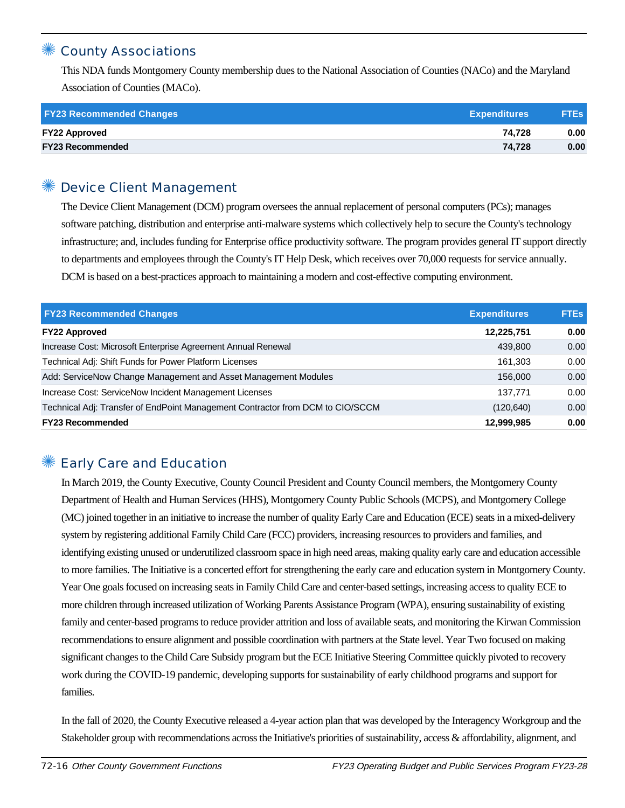## **County Associations**

This NDA funds Montgomery County membership dues to the National Association of Counties (NACo) and the Maryland Association of Counties (MACo).

| <b>FY23 Recommended Changes</b> | <b>Expenditures</b> | <b>FTEs</b> |
|---------------------------------|---------------------|-------------|
| <b>FY22 Approved</b>            | 74.728              | 0.00        |
| <b>FY23 Recommended</b>         | 74.728              | 0.00        |

## ✺ Device Client Management

The Device Client Management (DCM) program oversees the annual replacement of personal computers (PCs); manages software patching, distribution and enterprise anti-malware systems which collectively help to secure the County's technology infrastructure; and, includes funding for Enterprise office productivity software. The program provides general IT support directly to departments and employees through the County's IT Help Desk, which receives over 70,000 requests for service annually. DCM is based on a best-practices approach to maintaining a modern and cost-effective computing environment.

| <b>FY23 Recommended Changes</b>                                                | <b>Expenditures</b> | <b>FTEs</b> |
|--------------------------------------------------------------------------------|---------------------|-------------|
| <b>FY22 Approved</b>                                                           | 12,225,751          | 0.00        |
| Increase Cost: Microsoft Enterprise Agreement Annual Renewal                   | 439,800             | 0.00        |
| Technical Adj: Shift Funds for Power Platform Licenses                         | 161.303             | 0.00        |
| Add: ServiceNow Change Management and Asset Management Modules                 | 156,000             | 0.00        |
| Increase Cost: ServiceNow Incident Management Licenses                         | 137.771             | 0.00        |
| Technical Adj: Transfer of EndPoint Management Contractor from DCM to CIO/SCCM | (120, 640)          | 0.00        |
| <b>FY23 Recommended</b>                                                        | 12,999,985          | 0.00        |

## Early Care and Education

In March 2019, the County Executive, County Council President and County Council members, the Montgomery County Department of Health and Human Services (HHS), Montgomery County Public Schools (MCPS), and Montgomery College (MC) joined together in an initiative to increase the number of quality Early Care and Education (ECE) seats in a mixed-delivery system by registering additional Family Child Care (FCC) providers, increasing resources to providers and families, and identifying existing unused or underutilized classroom space in high need areas, making quality early care and education accessible to more families. The Initiative is a concerted effort for strengthening the early care and education system in Montgomery County. Year One goals focused on increasing seats in Family Child Care and center-based settings, increasing access to quality ECE to more children through increased utilization of Working Parents Assistance Program (WPA), ensuring sustainability of existing family and center-based programs to reduce provider attrition and loss of available seats, and monitoring the Kirwan Commission recommendations to ensure alignment and possible coordination with partners at the State level. Year Two focused on making significant changes to the Child Care Subsidy program but the ECE Initiative Steering Committee quickly pivoted to recovery work during the COVID-19 pandemic, developing supports for sustainability of early childhood programs and support for families.

In the fall of 2020, the County Executive released a 4-year action plan that was developed by the Interagency Workgroup and the Stakeholder group with recommendations across the Initiative's priorities of sustainability, access & affordability, alignment, and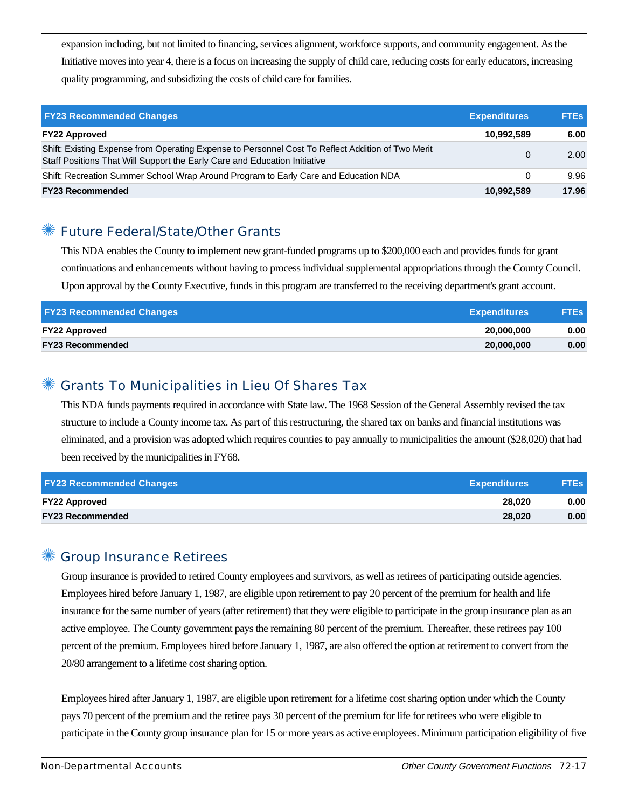expansion including, but not limited to financing, services alignment, workforce supports, and community engagement. As the Initiative moves into year 4, there is a focus on increasing the supply of child care, reducing costs for early educators, increasing quality programming, and subsidizing the costs of child care for families.

| <b>FY23 Recommended Changes</b>                                                                                                                                                | <b>Expenditures</b> | <b>FTES</b> |
|--------------------------------------------------------------------------------------------------------------------------------------------------------------------------------|---------------------|-------------|
| <b>FY22 Approved</b>                                                                                                                                                           | 10,992,589          | 6.00        |
| Shift: Existing Expense from Operating Expense to Personnel Cost To Reflect Addition of Two Merit<br>Staff Positions That Will Support the Early Care and Education Initiative | 0                   | 2.00        |
| Shift: Recreation Summer School Wrap Around Program to Early Care and Education NDA                                                                                            |                     | 9.96        |
| <b>FY23 Recommended</b>                                                                                                                                                        | 10.992.589          | 17.96       |

## **Future Federal/State/Other Grants**

This NDA enables the County to implement new grant-funded programs up to \$200,000 each and provides funds for grant continuations and enhancements without having to process individual supplemental appropriations through the County Council. Upon approval by the County Executive, funds in this program are transferred to the receiving department's grant account.

| <b>FY23 Recommended Changes</b> | <b>Expenditures</b> | <b>FTEs</b> |
|---------------------------------|---------------------|-------------|
| <b>FY22 Approved</b>            | 20.000.000          | 0.00        |
| <b>FY23 Recommended</b>         | 20,000,000          | 0.00        |

## ✺ Grants To Municipalities in Lieu Of Shares Tax

This NDA funds payments required in accordance with State law. The 1968 Session of the General Assembly revised the tax structure to include a County income tax. As part of this restructuring, the shared tax on banks and financial institutions was eliminated, and a provision was adopted which requires counties to pay annually to municipalities the amount (\$28,020) that had been received by the municipalities in FY68.

| <b>FY23 Recommended Changes</b> | <b>Expenditures</b> | <b>FTEs</b> |
|---------------------------------|---------------------|-------------|
| <b>FY22 Approved</b>            | 28.020              | 0.00        |
| <b>FY23 Recommended</b>         | 28.020              | 0.00        |

#### ✺ Group Insurance Retirees

Group insurance is provided to retired County employees and survivors, as well as retirees of participating outside agencies. Employees hired before January 1, 1987, are eligible upon retirement to pay 20 percent of the premium for health and life insurance for the same number of years (after retirement) that they were eligible to participate in the group insurance plan as an active employee. The County government pays the remaining 80 percent of the premium. Thereafter, these retirees pay 100 percent of the premium. Employees hired before January 1, 1987, are also offered the option at retirement to convert from the 20/80 arrangement to a lifetime cost sharing option.

Employees hired after January 1, 1987, are eligible upon retirement for a lifetime cost sharing option under which the County pays 70 percent of the premium and the retiree pays 30 percent of the premium for life for retirees who were eligible to participate in the County group insurance plan for 15 or more years as active employees. Minimum participation eligibility of five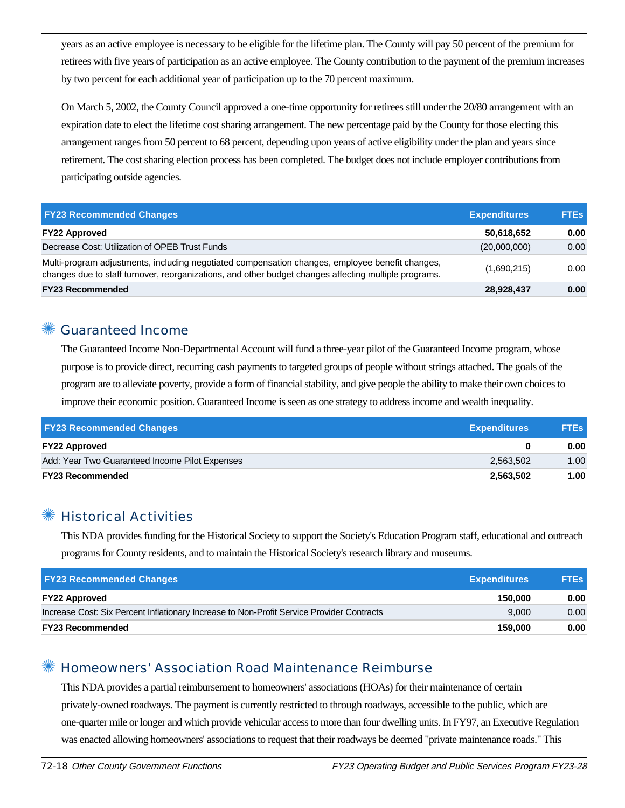years as an active employee is necessary to be eligible for the lifetime plan. The County will pay 50 percent of the premium for retirees with five years of participation as an active employee. The County contribution to the payment of the premium increases by two percent for each additional year of participation up to the 70 percent maximum.

On March 5, 2002, the County Council approved a one-time opportunity for retirees still under the 20/80 arrangement with an expiration date to elect the lifetime cost sharing arrangement. The new percentage paid by the County for those electing this arrangement ranges from 50 percent to 68 percent, depending upon years of active eligibility under the plan and years since retirement. The cost sharing election process has been completed. The budget does not include employer contributions from participating outside agencies.

| <b>FY23 Recommended Changes</b>                                                                                                                                                                          | <b>Expenditures</b> | <b>FTEs</b> |
|----------------------------------------------------------------------------------------------------------------------------------------------------------------------------------------------------------|---------------------|-------------|
| <b>FY22 Approved</b>                                                                                                                                                                                     | 50,618,652          | 0.00        |
| Decrease Cost: Utilization of OPEB Trust Funds                                                                                                                                                           | (20,000,000)        | 0.00        |
| Multi-program adjustments, including negotiated compensation changes, employee benefit changes,<br>changes due to staff turnover, reorganizations, and other budget changes affecting multiple programs. | (1,690,215)         | 0.00        |
| <b>FY23 Recommended</b>                                                                                                                                                                                  | 28,928,437          | 0.00        |

#### Guaranteed Income

The Guaranteed Income Non-Departmental Account will fund a three-year pilot of the Guaranteed Income program, whose purpose is to provide direct, recurring cash payments to targeted groups of people without strings attached. The goals of the program are to alleviate poverty, provide a form of financial stability, and give people the ability to make their own choices to improve their economic position. Guaranteed Income is seen as one strategy to address income and wealth inequality.

| <b>FY23 Recommended Changes</b>                | <b>Expenditures</b> | <b>FTEs</b> |
|------------------------------------------------|---------------------|-------------|
| <b>FY22 Approved</b>                           |                     | 0.00        |
| Add: Year Two Guaranteed Income Pilot Expenses | 2,563,502           | 1.00        |
| <b>FY23 Recommended</b>                        | 2,563,502           | 1.00        |

#### ✺ Historical Activities

This NDA provides funding for the Historical Society to support the Society's Education Program staff, educational and outreach programs for County residents, and to maintain the Historical Society's research library and museums.

| <b>FY23 Recommended Changes</b>                                                           | <b>Expenditures</b> | <b>FTEs</b>       |
|-------------------------------------------------------------------------------------------|---------------------|-------------------|
| <b>FY22 Approved</b>                                                                      | 150.000             | 0.00              |
| Increase Cost: Six Percent Inflationary Increase to Non-Profit Service Provider Contracts | 9.000               | 0.00 <sub>1</sub> |
| <b>FY23 Recommended</b>                                                                   | 159.000             | 0.00              |

## ✺ Homeowners' Association Road Maintenance Reimburse

This NDA provides a partial reimbursement to homeowners' associations (HOAs) for their maintenance of certain privately-owned roadways. The payment is currently restricted to through roadways, accessible to the public, which are one-quarter mile or longer and which provide vehicular access to more than four dwelling units. In FY97, an Executive Regulation was enacted allowing homeowners' associations to request that their roadways be deemed "private maintenance roads." This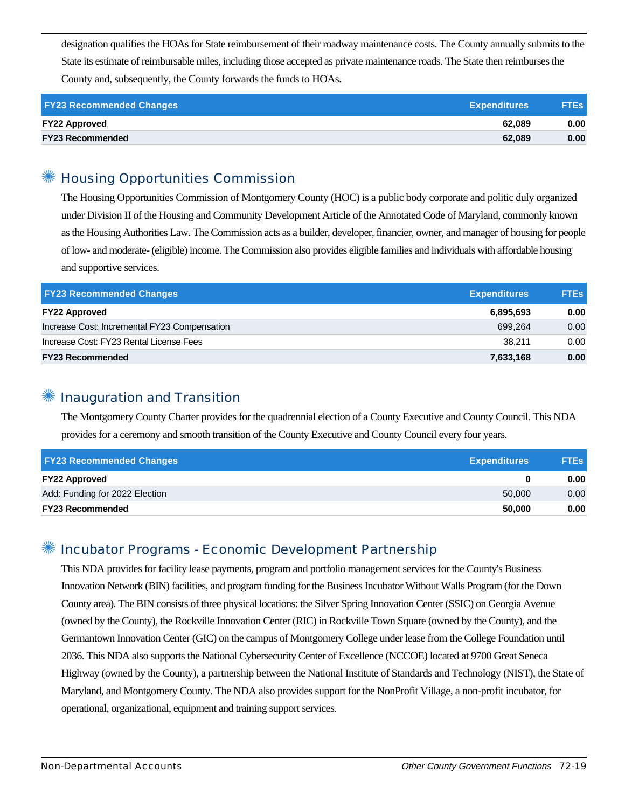designation qualifies the HOAs for State reimbursement of their roadway maintenance costs. The County annually submits to the State its estimate of reimbursable miles, including those accepted as private maintenance roads. The State then reimburses the County and, subsequently, the County forwards the funds to HOAs.

| <b>FY23 Recommended Changes</b> | <b>Expenditures</b> | <b>FTEs</b> |
|---------------------------------|---------------------|-------------|
| <b>FY22 Approved</b>            | 62.089              | 0.00        |
| <b>FY23 Recommended</b>         | 62.089              | 0.00        |

#### ✺ Housing Opportunities Commission

The Housing Opportunities Commission of Montgomery County (HOC) is a public body corporate and politic duly organized under Division II of the Housing and Community Development Article of the Annotated Code of Maryland, commonly known as the Housing Authorities Law. The Commission acts as a builder, developer, financier, owner, and manager of housing for people of low- and moderate- (eligible) income. The Commission also provides eligible families and individuals with affordable housing and supportive services.

| <b>FY23 Recommended Changes</b>              | <b>Expenditures</b> | <b>FTEs</b> |
|----------------------------------------------|---------------------|-------------|
| <b>FY22 Approved</b>                         | 6,895,693           | 0.00        |
| Increase Cost: Incremental FY23 Compensation | 699.264             | 0.00        |
| Increase Cost: FY23 Rental License Fees      | 38.211              | 0.00        |
| <b>FY23 Recommended</b>                      | 7,633,168           | 0.00        |

#### Inauguration and Transition

The Montgomery County Charter provides for the quadrennial election of a County Executive and County Council. This NDA provides for a ceremony and smooth transition of the County Executive and County Council every four years.

| <b>FY23 Recommended Changes</b> | <b>Expenditures</b> | <b>FTEs</b> |
|---------------------------------|---------------------|-------------|
| <b>FY22 Approved</b>            | 0                   | 0.00        |
| Add: Funding for 2022 Election  | 50,000              | 0.00        |
| <b>FY23 Recommended</b>         | 50,000              | 0.00        |

#### Incubator Programs - Economic Development Partnership

This NDA provides for facility lease payments, program and portfolio management services for the County's Business Innovation Network (BIN) facilities, and program funding for the Business Incubator Without Walls Program (for the Down County area). The BIN consists of three physical locations: the Silver Spring Innovation Center (SSIC) on Georgia Avenue (owned by the County), the Rockville Innovation Center (RIC) in Rockville Town Square (owned by the County), and the Germantown Innovation Center (GIC) on the campus of Montgomery College under lease from the College Foundation until 2036. This NDA also supports the National Cybersecurity Center of Excellence (NCCOE) located at 9700 Great Seneca Highway (owned by the County), a partnership between the National Institute of Standards and Technology (NIST), the State of Maryland, and Montgomery County. The NDA also provides support for the NonProfit Village, a non-profit incubator, for operational, organizational, equipment and training support services.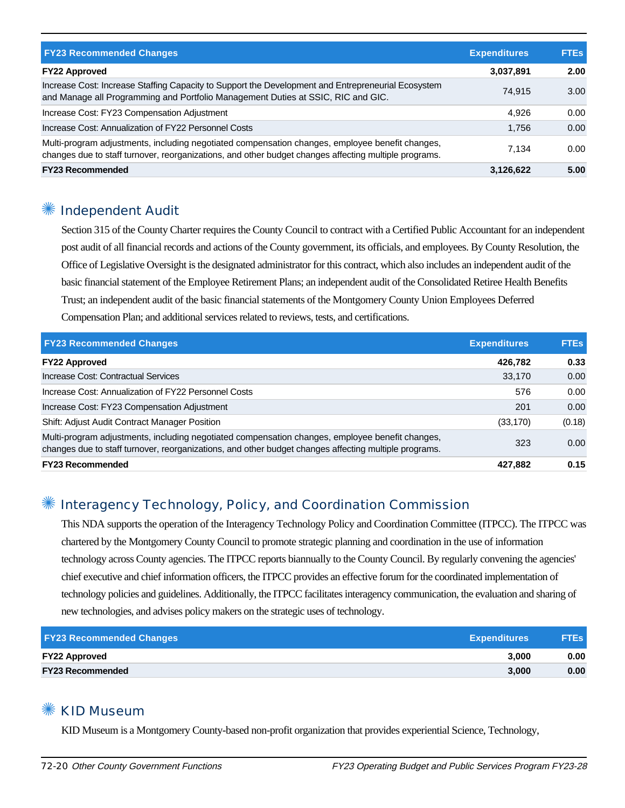| <b>FY23 Recommended Changes</b>                                                                                                                                                                          | <b>Expenditures</b> | <b>FTEs</b> |
|----------------------------------------------------------------------------------------------------------------------------------------------------------------------------------------------------------|---------------------|-------------|
| <b>FY22 Approved</b>                                                                                                                                                                                     | 3,037,891           | 2.00        |
| Increase Cost: Increase Staffing Capacity to Support the Development and Entrepreneurial Ecosystem<br>and Manage all Programming and Portfolio Management Duties at SSIC, RIC and GIC.                   | 74.915              | 3.00        |
| Increase Cost: FY23 Compensation Adjustment                                                                                                                                                              | 4.926               | 0.00        |
| Increase Cost: Annualization of FY22 Personnel Costs                                                                                                                                                     | 1.756               | 0.00        |
| Multi-program adjustments, including negotiated compensation changes, employee benefit changes,<br>changes due to staff turnover, reorganizations, and other budget changes affecting multiple programs. | 7.134               | 0.00        |
| <b>FY23 Recommended</b>                                                                                                                                                                                  | 3,126,622           | 5.00        |

## Independent Audit

Section 315 of the County Charter requires the County Council to contract with a Certified Public Accountant for an independent post audit of all financial records and actions of the County government, its officials, and employees. By County Resolution, the Office of Legislative Oversight is the designated administrator for this contract, which also includes an independent audit of the basic financial statement of the Employee Retirement Plans; an independent audit of the Consolidated Retiree Health Benefits Trust; an independent audit of the basic financial statements of the Montgomery County Union Employees Deferred Compensation Plan; and additional services related to reviews, tests, and certifications.

| <b>FY23 Recommended Changes</b>                                                                                                                                                                          | <b>Expenditures</b> | <b>FTES</b> |
|----------------------------------------------------------------------------------------------------------------------------------------------------------------------------------------------------------|---------------------|-------------|
| <b>FY22 Approved</b>                                                                                                                                                                                     | 426,782             | 0.33        |
| Increase Cost: Contractual Services                                                                                                                                                                      | 33,170              | 0.00        |
| Increase Cost: Annualization of FY22 Personnel Costs                                                                                                                                                     | 576                 | 0.00        |
| Increase Cost: FY23 Compensation Adjustment                                                                                                                                                              | 201                 | 0.00        |
| <b>Shift: Adjust Audit Contract Manager Position</b>                                                                                                                                                     | (33,170)            | (0.18)      |
| Multi-program adjustments, including negotiated compensation changes, employee benefit changes,<br>changes due to staff turnover, reorganizations, and other budget changes affecting multiple programs. | 323                 | 0.00        |
| <b>FY23 Recommended</b>                                                                                                                                                                                  | 427.882             | 0.15        |

## Interagency Technology, Policy, and Coordination Commission

This NDA supports the operation of the Interagency Technology Policy and Coordination Committee (ITPCC). The ITPCC was chartered by the Montgomery County Council to promote strategic planning and coordination in the use of information technology across County agencies. The ITPCC reports biannually to the County Council. By regularly convening the agencies' chief executive and chief information officers, the ITPCC provides an effective forum for the coordinated implementation of technology policies and guidelines. Additionally, the ITPCC facilitates interagency communication, the evaluation and sharing of new technologies, and advises policy makers on the strategic uses of technology.

| <b>FY23 Recommended Changes</b><br><b>Expenditures</b> | <b>FTEs</b> |
|--------------------------------------------------------|-------------|
| <b>FY22 Approved</b><br>3.000                          | 0.00        |
| <b>FY23 Recommended</b><br>3.000                       | 0.00        |

#### KID Museum

KID Museum is a Montgomery County-based non-profit organization that provides experiential Science, Technology,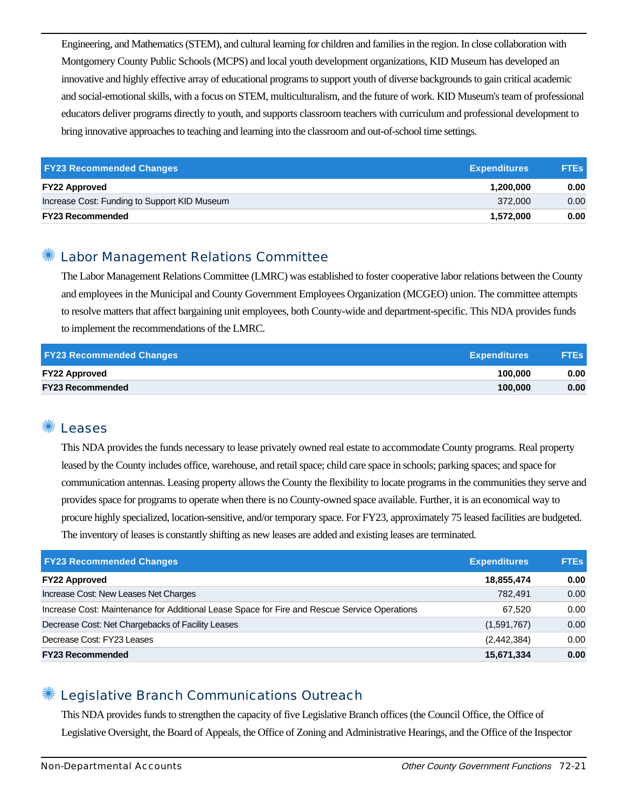Engineering, and Mathematics (STEM), and cultural learning for children and families in the region. In close collaboration with Montgomery County Public Schools (MCPS) and local youth development organizations, KID Museum has developed an innovative and highly effective array of educational programs to support youth of diverse backgrounds to gain critical academic and social-emotional skills, with a focus on STEM, multiculturalism, and the future of work. KID Museum's team of professional educators deliver programs directly to youth, and supports classroom teachers with curriculum and professional development to bring innovative approaches to teaching and learning into the classroom and out-of-school time settings.

| <b>FY23 Recommended Changes</b>              | <b>Expenditures</b> | <b>FTEs</b> |
|----------------------------------------------|---------------------|-------------|
| <b>FY22 Approved</b>                         | 1.200.000           | 0.00        |
| Increase Cost: Funding to Support KID Museum | 372,000             | 0.00        |
| <b>FY23 Recommended</b>                      | 1.572.000           | 0.00        |

#### ✺ Labor Management Relations Committee

The Labor Management Relations Committee (LMRC) was established to foster cooperative labor relations between the County and employees in the Municipal and County Government Employees Organization (MCGEO) union. The committee attempts to resolve matters that affect bargaining unit employees, both County-wide and department-specific. This NDA provides funds to implement the recommendations of the LMRC.

| <b>FY23 Recommended Changes</b><br><b>Expenditures</b> | <b>FTEs</b> |
|--------------------------------------------------------|-------------|
| <b>FY22 Approved</b><br>100.000                        | 0.00        |
| <b>FY23 Recommended</b><br>100.000                     | 0.00        |

#### **Leases**

This NDA provides the funds necessary to lease privately owned real estate to accommodate County programs. Real property leased by the County includes office, warehouse, and retail space; child care space in schools; parking spaces; and space for communication antennas. Leasing property allows the County the flexibility to locate programs in the communities they serve and provides space for programs to operate when there is no County-owned space available. Further, it is an economical way to procure highly specialized, location-sensitive, and/or temporary space. For FY23, approximately 75 leased facilities are budgeted. The inventory of leases is constantly shifting as new leases are added and existing leases are terminated.

| <b>FY23 Recommended Changes</b>                                                              | <b>Expenditures</b> | <b>FTEs</b> |
|----------------------------------------------------------------------------------------------|---------------------|-------------|
| <b>FY22 Approved</b>                                                                         | 18,855,474          | 0.00        |
| Increase Cost: New Leases Net Charges                                                        | 782.491             | 0.00        |
| Increase Cost: Maintenance for Additional Lease Space for Fire and Rescue Service Operations | 67.520              | 0.00        |
| Decrease Cost: Net Chargebacks of Facility Leases                                            | (1,591,767)         | 0.00        |
| Decrease Cost: FY23 Leases                                                                   | (2,442,384)         | 0.00        |
| <b>FY23 Recommended</b>                                                                      | 15,671,334          | 0.00        |

#### Legislative Branch Communications Outreach

This NDA provides funds to strengthen the capacity of five Legislative Branch offices (the Council Office, the Office of Legislative Oversight, the Board of Appeals, the Office of Zoning and Administrative Hearings, and the Office of the Inspector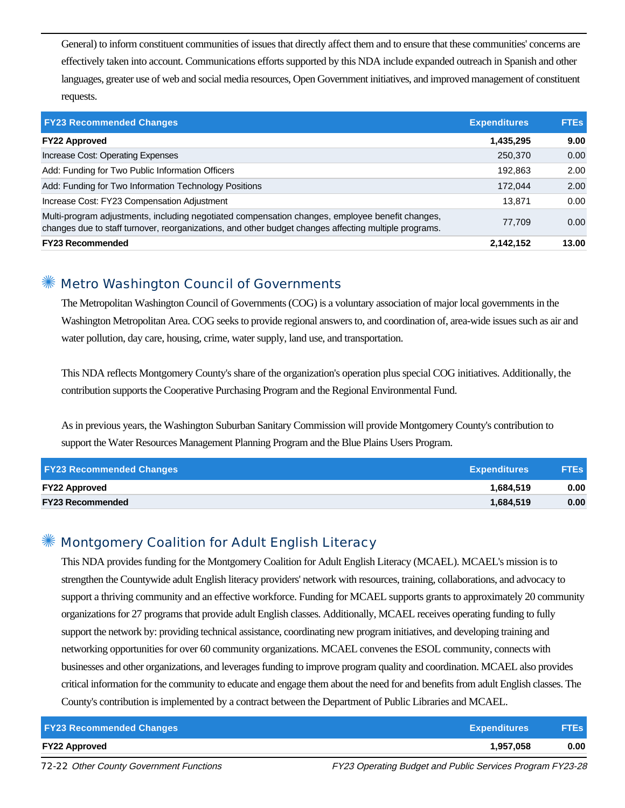General) to inform constituent communities of issues that directly affect them and to ensure that these communities' concerns are effectively taken into account. Communications efforts supported by this NDA include expanded outreach in Spanish and other languages, greater use of web and social media resources, Open Government initiatives, and improved management of constituent requests.

| <b>FY23 Recommended Changes</b>                                                                                                                                                                          | <b>Expenditures</b> | <b>FTEs</b> |
|----------------------------------------------------------------------------------------------------------------------------------------------------------------------------------------------------------|---------------------|-------------|
| <b>FY22 Approved</b>                                                                                                                                                                                     | 1,435,295           | 9.00        |
| Increase Cost: Operating Expenses                                                                                                                                                                        | 250,370             | 0.00        |
| Add: Funding for Two Public Information Officers                                                                                                                                                         | 192.863             | 2.00        |
| Add: Funding for Two Information Technology Positions                                                                                                                                                    | 172.044             | 2.00        |
| Increase Cost: FY23 Compensation Adjustment                                                                                                                                                              | 13,871              | 0.00        |
| Multi-program adjustments, including negotiated compensation changes, employee benefit changes,<br>changes due to staff turnover, reorganizations, and other budget changes affecting multiple programs. | 77.709              | 0.00        |
| <b>FY23 Recommended</b>                                                                                                                                                                                  | 2,142,152           | 13.00       |

#### ✺ Metro Washington Council of Governments

The Metropolitan Washington Council of Governments (COG) is a voluntary association of major local governments in the Washington Metropolitan Area. COG seeks to provide regional answers to, and coordination of, area-wide issues such as air and water pollution, day care, housing, crime, water supply, land use, and transportation.

This NDA reflects Montgomery County's share of the organization's operation plus special COG initiatives. Additionally, the contribution supports the Cooperative Purchasing Program and the Regional Environmental Fund.

As in previous years, the Washington Suburban Sanitary Commission will provide Montgomery County's contribution to support the Water Resources Management Planning Program and the Blue Plains Users Program.

| <b>FY23 Recommended Changes</b> | <b>Expenditures</b> | <b>FTEs</b> |
|---------------------------------|---------------------|-------------|
| <b>FY22 Approved</b>            | 1.684.519           | 0.00        |
| <b>FY23 Recommended</b>         | 1,684,519           | 0.00        |

#### Montgomery Coalition for Adult English Literacy

This NDA provides funding for the Montgomery Coalition for Adult English Literacy (MCAEL). MCAEL's mission is to strengthen the Countywide adult English literacy providers' network with resources, training, collaborations, and advocacy to support a thriving community and an effective workforce. Funding for MCAEL supports grants to approximately 20 community organizations for 27 programs that provide adult English classes. Additionally, MCAEL receives operating funding to fully support the network by: providing technical assistance, coordinating new program initiatives, and developing training and networking opportunities for over 60 community organizations. MCAEL convenes the ESOL community, connects with businesses and other organizations, and leverages funding to improve program quality and coordination. MCAEL also provides critical information for the community to educate and engage them about the need for and benefits from adult English classes. The County's contribution is implemented by a contract between the Department of Public Libraries and MCAEL.

| <b>FY23 Recommended Changes</b> | <b>Expenditures</b> | <b>FTEs</b> |
|---------------------------------|---------------------|-------------|
| <b>FY22 Approved</b>            | 1.957.058           | 0.00        |

72-22 Other County Government Functions Functions FULL FY23 Operating Budget and Public Services Program FY23-28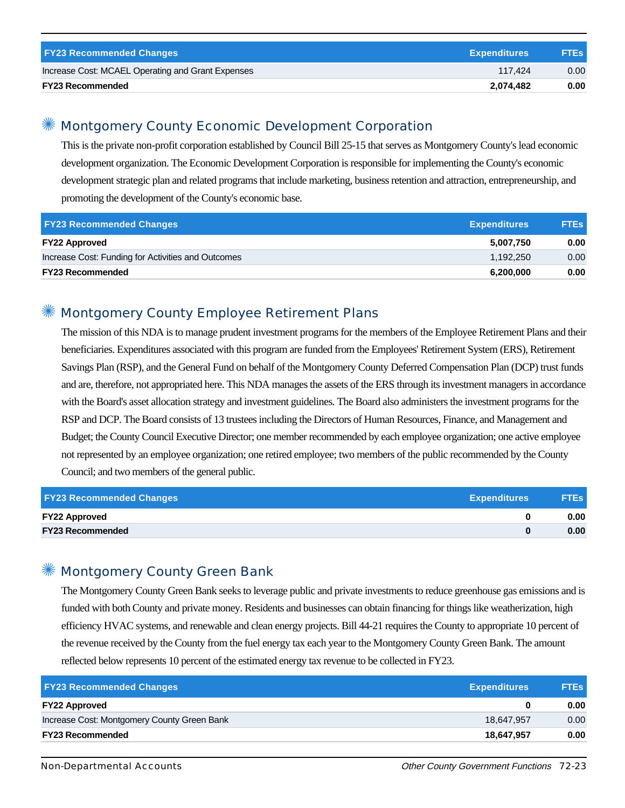| <b>FY23 Recommended Changes</b>                   | <b>Expenditures</b> | <b>FTEs</b> |
|---------------------------------------------------|---------------------|-------------|
| Increase Cost: MCAEL Operating and Grant Expenses | 117.424             | 0.00        |
| <b>FY23 Recommended</b>                           | 2,074,482           | 0.00        |

#### ✺ Montgomery County Economic Development Corporation

This is the private non-profit corporation established by Council Bill 25-15 that serves as Montgomery County's lead economic development organization. The Economic Development Corporation is responsible for implementing the County's economic development strategic plan and related programs that include marketing, business retention and attraction, entrepreneurship, and promoting the development of the County's economic base.

| <b>FY23 Recommended Changes</b>                    | <b>Expenditures</b> | <b>FTEs</b> |
|----------------------------------------------------|---------------------|-------------|
| <b>FY22 Approved</b>                               | 5.007.750           | 0.00        |
| Increase Cost: Funding for Activities and Outcomes | 1.192.250           | 0.00        |
| <b>FY23 Recommended</b>                            | 6.200.000           | 0.00        |

## Montgomery County Employee Retirement Plans

The mission of this NDA is to manage prudent investment programs for the members of the Employee Retirement Plans and their beneficiaries. Expenditures associated with this program are funded from the Employees' Retirement System (ERS), Retirement Savings Plan (RSP), and the General Fund on behalf of the Montgomery County Deferred Compensation Plan (DCP) trust funds and are, therefore, not appropriated here. This NDA manages the assets of the ERS through its investment managers in accordance with the Board's asset allocation strategy and investment guidelines. The Board also administers the investment programs for the RSP and DCP. The Board consists of 13 trustees including the Directors of Human Resources, Finance, and Management and Budget; the County Council Executive Director; one member recommended by each employee organization; one active employee not represented by an employee organization; one retired employee; two members of the public recommended by the County Council; and two members of the general public.

| <b>FY23 Recommended Changes</b> | <b>Expenditures</b> | <b>FTEs</b> |
|---------------------------------|---------------------|-------------|
| <b>FY22 Approved</b>            |                     | 0.00        |
| <b>FY23 Recommended</b>         |                     | 0.00        |

#### Montgomery County Green Bank

The Montgomery County Green Bank seeks to leverage public and private investments to reduce greenhouse gas emissions and is funded with both County and private money. Residents and businesses can obtain financing for things like weatherization, high efficiency HVAC systems, and renewable and clean energy projects. Bill 44-21 requires the County to appropriate 10 percent of the revenue received by the County from the fuel energy tax each year to the Montgomery County Green Bank. The amount reflected below represents 10 percent of the estimated energy tax revenue to be collected in FY23.

| <b>FY23 Recommended Changes</b><br><b>Expenditures</b> |            | <b>FTEs</b> |
|--------------------------------------------------------|------------|-------------|
| <b>FY22 Approved</b>                                   |            | 0.00        |
| Increase Cost: Montgomery County Green Bank            | 18.647.957 | 0.00        |
| <b>FY23 Recommended</b>                                | 18.647.957 | 0.00        |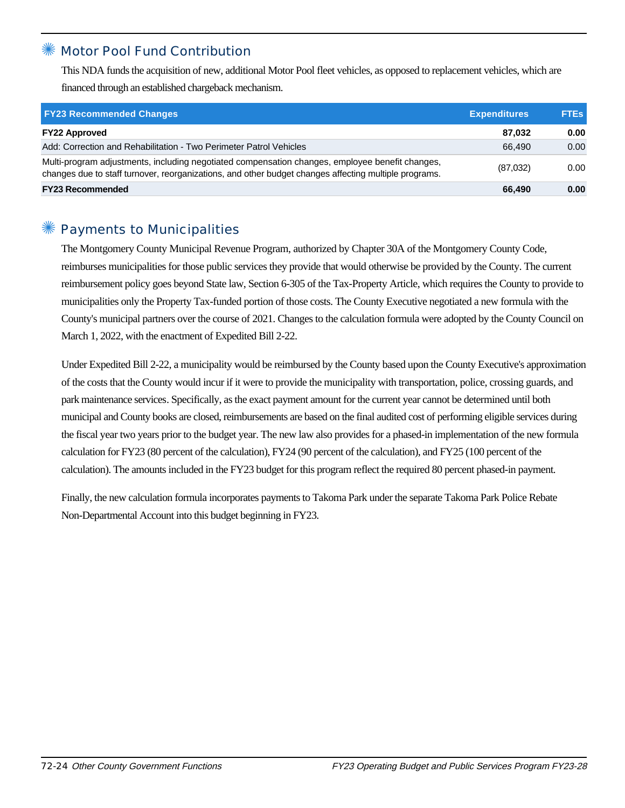#### ✺ Motor Pool Fund Contribution

This NDA funds the acquisition of new, additional Motor Pool fleet vehicles, as opposed to replacement vehicles, which are financed through an established chargeback mechanism.

| <b>FY23 Recommended Changes</b>                                                                                                                                                                          | <b>Expenditures</b> | <b>FTEs</b> |
|----------------------------------------------------------------------------------------------------------------------------------------------------------------------------------------------------------|---------------------|-------------|
| <b>FY22 Approved</b>                                                                                                                                                                                     | 87.032              | 0.00        |
| Add: Correction and Rehabilitation - Two Perimeter Patrol Vehicles                                                                                                                                       | 66.490              | 0.00        |
| Multi-program adjustments, including negotiated compensation changes, employee benefit changes,<br>changes due to staff turnover, reorganizations, and other budget changes affecting multiple programs. | (87,032)            | 0.00        |
| <b>FY23 Recommended</b>                                                                                                                                                                                  | 66,490              | 0.00        |

## Payments to Municipalities

The Montgomery County Municipal Revenue Program, authorized by Chapter 30A of the Montgomery County Code, reimburses municipalities for those public services they provide that would otherwise be provided by the County. The current reimbursement policy goes beyond State law, Section 6-305 of the Tax-Property Article, which requires the County to provide to municipalities only the Property Tax-funded portion of those costs. The County Executive negotiated a new formula with the County's municipal partners over the course of 2021. Changes to the calculation formula were adopted by the County Council on March 1, 2022, with the enactment of Expedited Bill 2-22.

Under Expedited Bill 2-22, a municipality would be reimbursed by the County based upon the County Executive's approximation of the costs that the County would incur if it were to provide the municipality with transportation, police, crossing guards, and park maintenance services. Specifically, as the exact payment amount for the current year cannot be determined until both municipal and County books are closed, reimbursements are based on the final audited cost of performing eligible services during the fiscal year two years prior to the budget year. The new law also provides for a phased-in implementation of the new formula calculation for FY23 (80 percent of the calculation), FY24 (90 percent of the calculation), and FY25 (100 percent of the calculation). The amounts included in the FY23 budget for this program reflect the required 80 percent phased-in payment.

Finally, the new calculation formula incorporates payments to Takoma Park under the separate Takoma Park Police Rebate Non-Departmental Account into this budget beginning in FY23.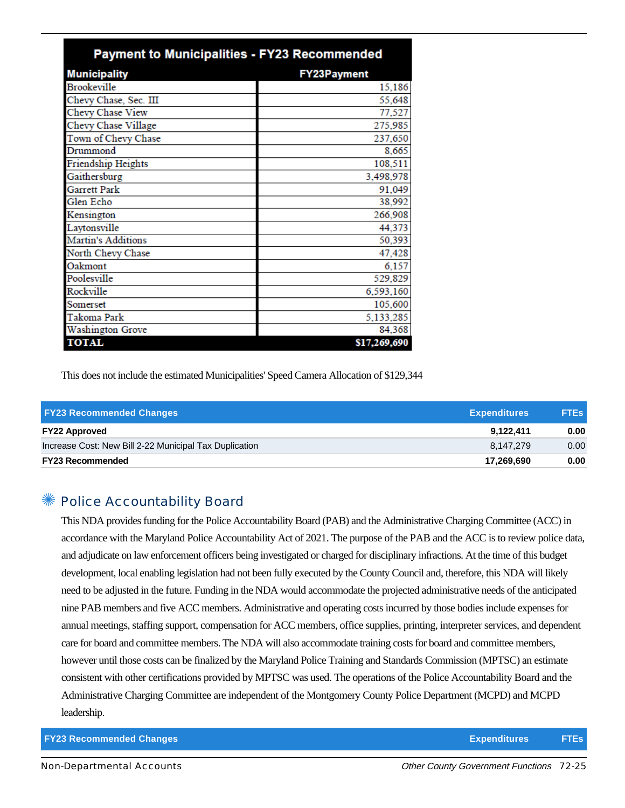| <b>Payment to Municipalities - FY23 Recommended</b> |                    |
|-----------------------------------------------------|--------------------|
| <b>Municipality</b>                                 | <b>FY23Payment</b> |
| <b>Brookeville</b>                                  | 15,186             |
| Chevy Chase, Sec. III                               | 55,648             |
| Chevy Chase View                                    | 77,527             |
| Chevy Chase Village                                 | 275,985            |
| Town of Chevy Chase                                 | 237,650            |
| Drummond                                            | 8,665              |
| Friendship Heights                                  | 108,511            |
| Gaithersburg                                        | 3,498,978          |
| <b>Garrett Park</b>                                 | 91,049             |
| Glen Echo                                           | 38,992             |
| Kensington                                          | 266,908            |
| Laytonsville                                        | 44,373             |
| <b>Martin's Additions</b>                           | 50,393             |
| North Chevy Chase                                   | 47,428             |
| Oakmont                                             | 6,157              |
| Poolesville                                         | 529,829            |
| Rockville                                           | 6,593,160          |
| Somerset                                            | 105,600            |
| Takoma Park                                         | 5,133,285          |
| <b>Washington Grove</b>                             | 84,368             |
| <b>TOTAL</b>                                        | \$17,269,690       |

This does not include the estimated Municipalities' Speed Camera Allocation of \$129,344

| <b>FY23 Recommended Changes</b>                        | <b>Expenditures</b> | <b>FTEs</b> |
|--------------------------------------------------------|---------------------|-------------|
| <b>FY22 Approved</b>                                   | 9.122.411           | 0.00        |
| Increase Cost: New Bill 2-22 Municipal Tax Duplication | 8.147.279           | 0.00        |
| <b>FY23 Recommended</b>                                | 17,269,690          | 0.00        |

## ✺ Police Accountability Board

This NDA provides funding for the Police Accountability Board (PAB) and the Administrative Charging Committee (ACC) in accordance with the Maryland Police Accountability Act of 2021. The purpose of the PAB and the ACC is to review police data, and adjudicate on law enforcement officers being investigated or charged for disciplinary infractions. At the time of this budget development, local enabling legislation had not been fully executed by the County Council and, therefore, this NDA will likely need to be adjusted in the future. Funding in the NDA would accommodate the projected administrative needs of the anticipated nine PAB members and five ACC members. Administrative and operating costs incurred by those bodies include expenses for annual meetings, staffing support, compensation for ACC members, office supplies, printing, interpreter services, and dependent care for board and committee members. The NDA will also accommodate training costs for board and committee members, however until those costs can be finalized by the Maryland Police Training and Standards Commission (MPTSC) an estimate consistent with other certifications provided by MPTSC was used. The operations of the Police Accountability Board and the Administrative Charging Committee are independent of the Montgomery County Police Department (MCPD) and MCPD leadership.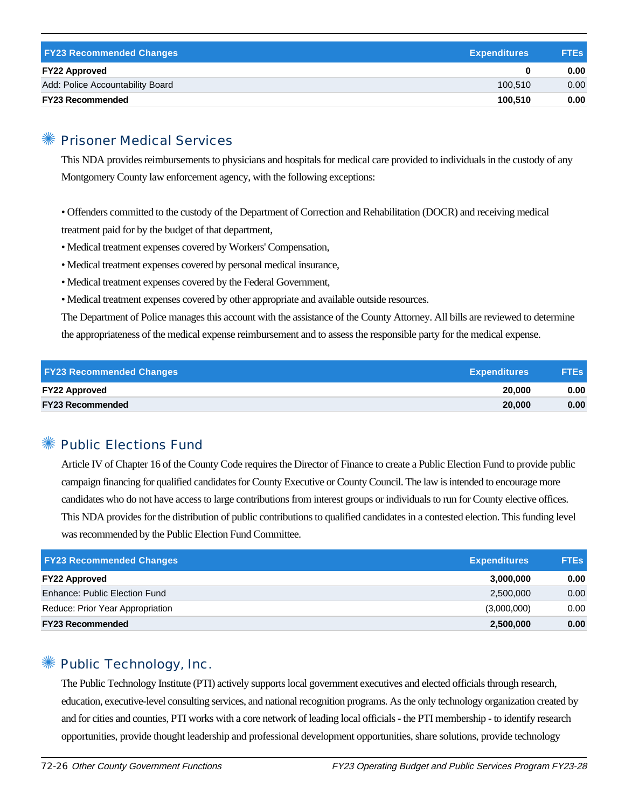| <b>FY23 Recommended Changes</b>  | <b>Expenditures</b> | <b>FTEs</b> |
|----------------------------------|---------------------|-------------|
| <b>FY22 Approved</b>             |                     | 0.00        |
| Add: Police Accountability Board | 100.510             | 0.00        |
| <b>FY23 Recommended</b>          | 100.510             | 0.00        |

#### ✺ Prisoner Medical Services

This NDA provides reimbursements to physicians and hospitals for medical care provided to individuals in the custody of any Montgomery County law enforcement agency, with the following exceptions:

• Offenders committed to the custody of the Department of Correction and Rehabilitation (DOCR) and receiving medical treatment paid for by the budget of that department,

- Medical treatment expenses covered by Workers' Compensation,
- Medical treatment expenses covered by personal medical insurance,
- Medical treatment expenses covered by the Federal Government,
- Medical treatment expenses covered by other appropriate and available outside resources.

The Department of Police manages this account with the assistance of the County Attorney. All bills are reviewed to determine the appropriateness of the medical expense reimbursement and to assess the responsible party for the medical expense.

| <b>FY23 Recommended Changes</b> | <b>Expenditures</b> | <b>FTEs</b> |
|---------------------------------|---------------------|-------------|
| <b>FY22 Approved</b>            | 20,000              | 0.00        |
| <b>FY23 Recommended</b>         | 20,000              | 0.00        |

## ✺ Public Elections Fund

Article IV of Chapter 16 of the County Code requires the Director of Finance to create a Public Election Fund to provide public campaign financing for qualified candidates for County Executive or County Council. The law is intended to encourage more candidates who do not have access to large contributions from interest groups or individuals to run for County elective offices. This NDA provides for the distribution of public contributions to qualified candidates in a contested election. This funding level was recommended by the Public Election Fund Committee.

| <b>FY23 Recommended Changes</b>  | <b>Expenditures</b> | <b>FTEs</b> |
|----------------------------------|---------------------|-------------|
| <b>FY22 Approved</b>             | 3,000,000           | 0.00        |
| Enhance: Public Election Fund    | 2,500,000           | 0.00        |
| Reduce: Prior Year Appropriation | (3,000,000)         | 0.00        |
| <b>FY23 Recommended</b>          | 2,500,000           | 0.00        |

#### ✺ Public Technology, Inc.

The Public Technology Institute (PTI) actively supports local government executives and elected officials through research, education, executive-level consulting services, and national recognition programs. As the only technology organization created by and for cities and counties, PTI works with a core network of leading local officials - the PTI membership - to identify research opportunities, provide thought leadership and professional development opportunities, share solutions, provide technology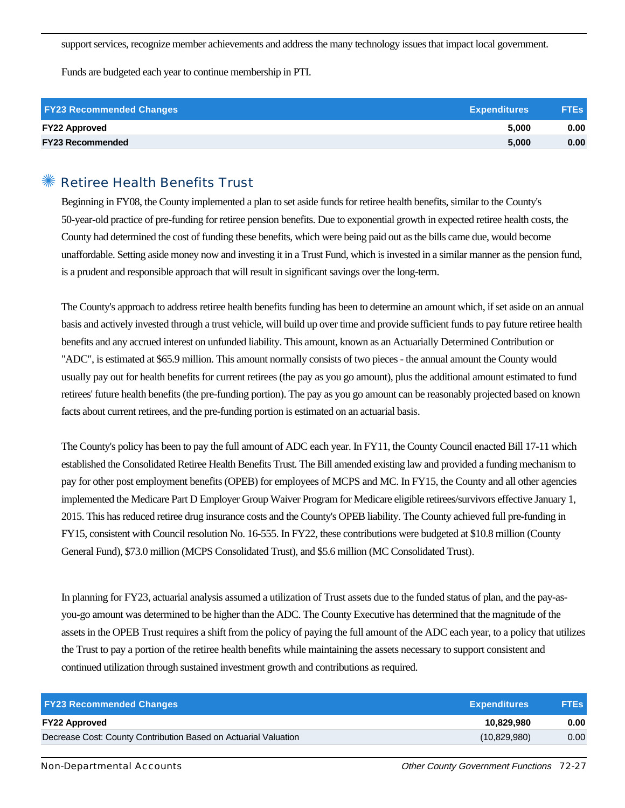support services, recognize member achievements and address the many technology issues that impact local government.

Funds are budgeted each year to continue membership in PTI.

| <b>FY23 Recommended Changes</b> | <b>Expenditures</b> | <b>FTEs</b> |
|---------------------------------|---------------------|-------------|
| <b>FY22 Approved</b>            | 5.000               | 0.00        |
| <b>FY23 Recommended</b>         | 5.000               | 0.00        |

#### ✺ Retiree Health Benefits Trust

Beginning in FY08, the County implemented a plan to set aside funds for retiree health benefits, similar to the County's 50-year-old practice of pre-funding for retiree pension benefits. Due to exponential growth in expected retiree health costs, the County had determined the cost of funding these benefits, which were being paid out as the bills came due, would become unaffordable. Setting aside money now and investing it in a Trust Fund, which is invested in a similar manner as the pension fund, is a prudent and responsible approach that will result in significant savings over the long-term.

The County's approach to address retiree health benefits funding has been to determine an amount which, if set aside on an annual basis and actively invested through a trust vehicle, will build up over time and provide sufficient funds to pay future retiree health benefits and any accrued interest on unfunded liability. This amount, known as an Actuarially Determined Contribution or "ADC", is estimated at \$65.9 million. This amount normally consists of two pieces - the annual amount the County would usually pay out for health benefits for current retirees (the pay as you go amount), plus the additional amount estimated to fund retirees' future health benefits (the pre-funding portion). The pay as you go amount can be reasonably projected based on known facts about current retirees, and the pre-funding portion is estimated on an actuarial basis.

The County's policy has been to pay the full amount of ADC each year. In FY11, the County Council enacted Bill 17-11 which established the Consolidated Retiree Health Benefits Trust. The Bill amended existing law and provided a funding mechanism to pay for other post employment benefits (OPEB) for employees of MCPS and MC. In FY15, the County and all other agencies implemented the Medicare Part D Employer Group Waiver Program for Medicare eligible retirees/survivors effective January 1, 2015. This has reduced retiree drug insurance costs and the County's OPEB liability. The County achieved full pre-funding in FY15, consistent with Council resolution No. 16-555. In FY22, these contributions were budgeted at \$10.8 million (County General Fund), \$73.0 million (MCPS Consolidated Trust), and \$5.6 million (MC Consolidated Trust).

In planning for FY23, actuarial analysis assumed a utilization of Trust assets due to the funded status of plan, and the pay-asyou-go amount was determined to be higher than the ADC. The County Executive has determined that the magnitude of the assets in the OPEB Trust requires a shift from the policy of paying the full amount of the ADC each year, to a policy that utilizes the Trust to pay a portion of the retiree health benefits while maintaining the assets necessary to support consistent and continued utilization through sustained investment growth and contributions as required.

| <b>FY23 Recommended Changes</b>                                 | <b>Expenditures</b> | <b>FTEs</b> |
|-----------------------------------------------------------------|---------------------|-------------|
| <b>FY22 Approved</b>                                            | 10.829.980          | 0.00        |
| Decrease Cost: County Contribution Based on Actuarial Valuation | (10,829,980)        | 0.00        |
|                                                                 |                     |             |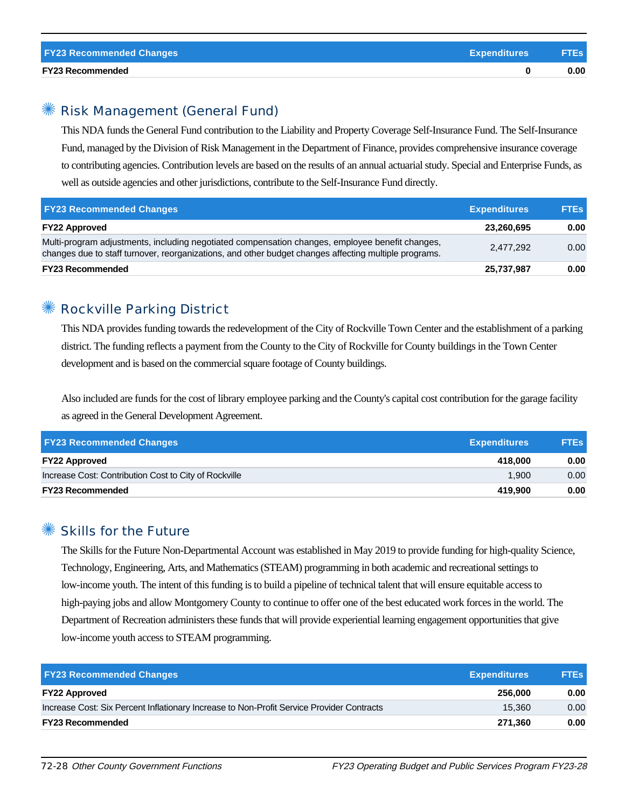#### ✺ Risk Management (General Fund)

This NDA funds the General Fund contribution to the Liability and Property Coverage Self-Insurance Fund. The Self-Insurance Fund, managed by the Division of Risk Management in the Department of Finance, provides comprehensive insurance coverage to contributing agencies. Contribution levels are based on the results of an annual actuarial study. Special and Enterprise Funds, as well as outside agencies and other jurisdictions, contribute to the Self-Insurance Fund directly.

| <b>FY23 Recommended Changes</b>                                                                                                                                                                          | <b>Expenditures</b> | <b>FTEs</b> |
|----------------------------------------------------------------------------------------------------------------------------------------------------------------------------------------------------------|---------------------|-------------|
| <b>FY22 Approved</b>                                                                                                                                                                                     | 23.260.695          | 0.00        |
| Multi-program adjustments, including negotiated compensation changes, employee benefit changes,<br>changes due to staff turnover, reorganizations, and other budget changes affecting multiple programs. | 2,477,292           | 0.00        |
| <b>FY23 Recommended</b>                                                                                                                                                                                  | 25,737,987          | 0.00        |

### ✺ Rockville Parking District

This NDA provides funding towards the redevelopment of the City of Rockville Town Center and the establishment of a parking district. The funding reflects a payment from the County to the City of Rockville for County buildings in the Town Center development and is based on the commercial square footage of County buildings.

Also included are funds for the cost of library employee parking and the County's capital cost contribution for the garage facility as agreed in the General Development Agreement.

| <b>FY23 Recommended Changes</b>                       | <b>Expenditures</b> | <b>FTEs</b> |
|-------------------------------------------------------|---------------------|-------------|
| <b>FY22 Approved</b>                                  | 418.000             | 0.00        |
| Increase Cost: Contribution Cost to City of Rockville | 1.900               | 0.00        |
| <b>FY23 Recommended</b>                               | 419.900             | 0.00        |

#### ✺ Skills for the Future

The Skills for the Future Non-Departmental Account was established in May 2019 to provide funding for high-quality Science, Technology, Engineering, Arts, and Mathematics (STEAM) programming in both academic and recreational settings to low-income youth. The intent of this funding is to build a pipeline of technical talent that will ensure equitable access to high-paying jobs and allow Montgomery County to continue to offer one of the best educated work forces in the world. The Department of Recreation administers these funds that will provide experiential learning engagement opportunities that give low-income youth access to STEAM programming.

| <b>FY23 Recommended Changes</b>                                                           | <b>Expenditures</b> | <b>FTEs</b> |
|-------------------------------------------------------------------------------------------|---------------------|-------------|
| <b>FY22 Approved</b>                                                                      | 256,000             | 0.00        |
| Increase Cost: Six Percent Inflationary Increase to Non-Profit Service Provider Contracts | 15.360              | 0.00        |
| <b>FY23 Recommended</b>                                                                   | 271.360             | 0.00        |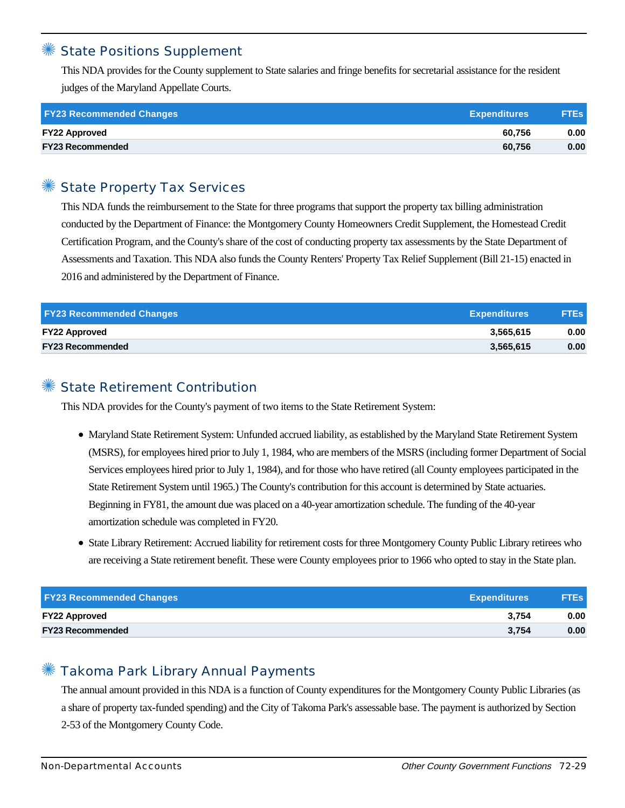#### **State Positions Supplement**

This NDA provides for the County supplement to State salaries and fringe benefits for secretarial assistance for the resident judges of the Maryland Appellate Courts.

| <b>FY23 Recommended Changes</b> | <b>Expenditures</b> | <b>FTEs</b> |
|---------------------------------|---------------------|-------------|
| <b>FY22 Approved</b>            | 60.756              | 0.00        |
| <b>FY23 Recommended</b>         | 60.756              | 0.00        |

## State Property Tax Services

This NDA funds the reimbursement to the State for three programs that support the property tax billing administration conducted by the Department of Finance: the Montgomery County Homeowners Credit Supplement, the Homestead Credit Certification Program, and the County's share of the cost of conducting property tax assessments by the State Department of Assessments and Taxation. This NDA also funds the County Renters' Property Tax Relief Supplement (Bill 21-15) enacted in 2016 and administered by the Department of Finance.

| <b>FY23 Recommended Changes</b> | <b>Expenditures</b> | <b>FTEs</b> |
|---------------------------------|---------------------|-------------|
| <b>FY22 Approved</b>            | 3,565,615           | 0.00        |
| <b>FY23 Recommended</b>         | 3,565,615           | 0.00        |

#### State Retirement Contribution

This NDA provides for the County's payment of two items to the State Retirement System:

- Maryland State Retirement System: Unfunded accrued liability, as established by the Maryland State Retirement System (MSRS), for employees hired prior to July 1, 1984, who are members of the MSRS (including former Department of Social Services employees hired prior to July 1, 1984), and for those who have retired (all County employees participated in the State Retirement System until 1965.) The County's contribution for this account is determined by State actuaries. Beginning in FY81, the amount due was placed on a 40-year amortization schedule. The funding of the 40-year amortization schedule was completed in FY20.
- State Library Retirement: Accrued liability for retirement costs for three Montgomery County Public Library retirees who are receiving a State retirement benefit. These were County employees prior to 1966 who opted to stay in the State plan.

| <b>FY23 Recommended Changes</b> | <b>Expenditures</b> | <b>FTEs</b> |
|---------------------------------|---------------------|-------------|
| <b>FY22 Approved</b>            | 3.754               | 0.00        |
| <b>FY23 Recommended</b>         | 3.754               | 0.00        |

#### ✺ Takoma Park Library Annual Payments

The annual amount provided in this NDA is a function of County expenditures for the Montgomery County Public Libraries (as a share of property tax-funded spending) and the City of Takoma Park's assessable base. The payment is authorized by Section 2-53 of the Montgomery County Code.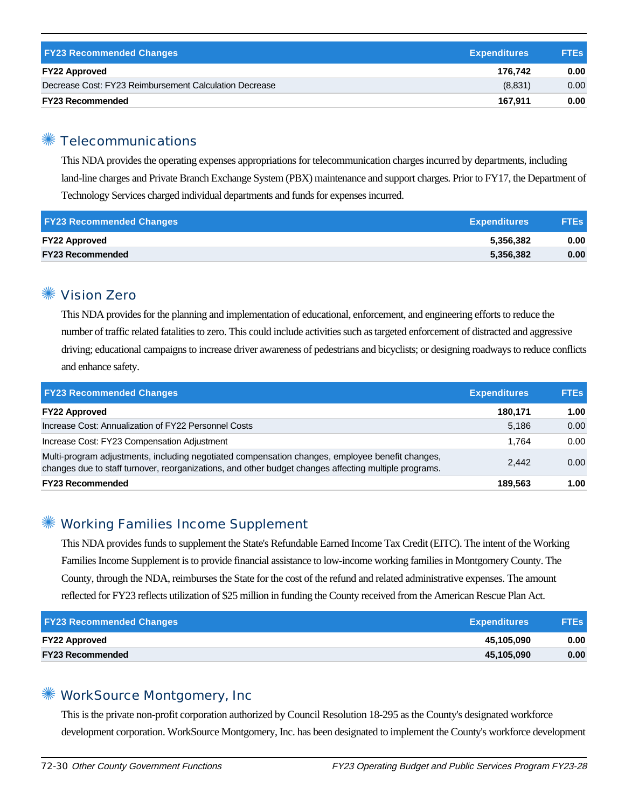| <b>FY23 Recommended Changes</b>                        | <b>Expenditures</b> | <b>FTEs</b> |
|--------------------------------------------------------|---------------------|-------------|
| <b>FY22 Approved</b>                                   | 176.742             | 0.00        |
| Decrease Cost: FY23 Reimbursement Calculation Decrease | (8,831)             | 0.00        |
| <b>FY23 Recommended</b>                                | 167.911             | 0.00        |

## ✺ Telecommunications

This NDA provides the operating expenses appropriations for telecommunication charges incurred by departments, including land-line charges and Private Branch Exchange System (PBX) maintenance and support charges. Prior to FY17, the Department of Technology Services charged individual departments and funds for expenses incurred.

| <b>FY23 Recommended Changes</b> | <b>Expenditures</b> | <b>FTEs</b> |
|---------------------------------|---------------------|-------------|
| <b>FY22 Approved</b>            | 5.356.382           | 0.00        |
| <b>FY23 Recommended</b>         | 5,356,382           | 0.00        |

#### ✺ Vision Zero

This NDA provides for the planning and implementation of educational, enforcement, and engineering efforts to reduce the number of traffic related fatalities to zero. This could include activities such as targeted enforcement of distracted and aggressive driving; educational campaigns to increase driver awareness of pedestrians and bicyclists; or designing roadways to reduce conflicts and enhance safety.

| <b>FY23 Recommended Changes</b>                                                                                                                                                                          | <b>Expenditures</b> | <b>FTEs</b> |
|----------------------------------------------------------------------------------------------------------------------------------------------------------------------------------------------------------|---------------------|-------------|
| <b>FY22 Approved</b>                                                                                                                                                                                     | 180,171             | 1.00        |
| Increase Cost: Annualization of FY22 Personnel Costs                                                                                                                                                     | 5.186               | 0.00        |
| Increase Cost: FY23 Compensation Adjustment                                                                                                                                                              | 1.764               | 0.00        |
| Multi-program adjustments, including negotiated compensation changes, employee benefit changes,<br>changes due to staff turnover, reorganizations, and other budget changes affecting multiple programs. | 2.442               | 0.00        |
| <b>FY23 Recommended</b>                                                                                                                                                                                  | 189.563             | 1.00        |

## ✺ Working Families Income Supplement

This NDA provides funds to supplement the State's Refundable Earned Income Tax Credit (EITC). The intent of the Working Families Income Supplement is to provide financial assistance to low-income working families in Montgomery County. The County, through the NDA, reimburses the State for the cost of the refund and related administrative expenses. The amount reflected for FY23 reflects utilization of \$25 million in funding the County received from the American Rescue Plan Act.

| <b>FY23 Recommended Changes</b> | <b>Expenditures</b> | <b>FTEs</b> |
|---------------------------------|---------------------|-------------|
| <b>FY22 Approved</b>            | 45.105.090          | 0.00        |
| <b>FY23 Recommended</b>         | 45.105.090          | 0.00        |

## ✺ WorkSource Montgomery, Inc

This is the private non-profit corporation authorized by Council Resolution 18-295 as the County's designated workforce development corporation. WorkSource Montgomery, Inc. has been designated to implement the County's workforce development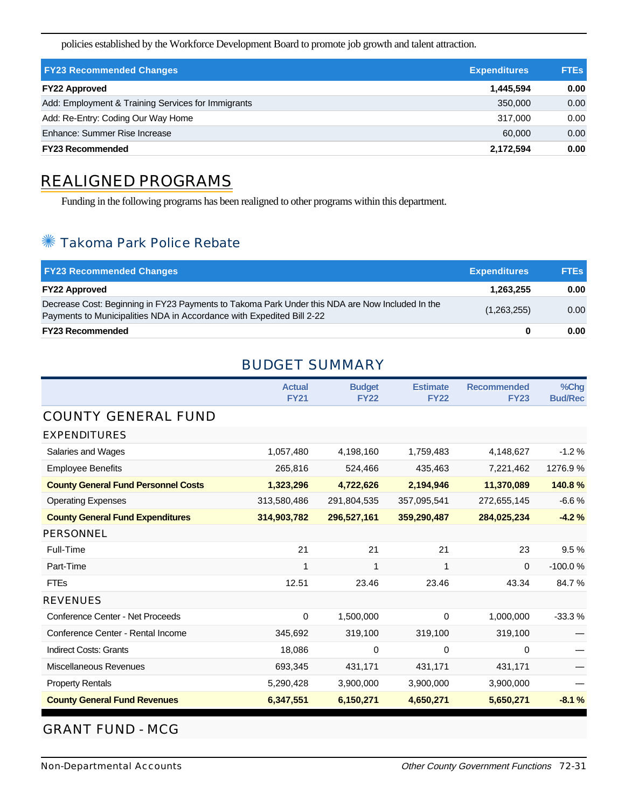policies established by the Workforce Development Board to promote job growth and talent attraction.

| <b>FY23 Recommended Changes</b>                    | <b>Expenditures</b> | <b>FTEs</b> |
|----------------------------------------------------|---------------------|-------------|
| <b>FY22 Approved</b>                               | 1,445,594           | 0.00        |
| Add: Employment & Training Services for Immigrants | 350,000             | 0.00        |
| Add: Re-Entry: Coding Our Way Home                 | 317.000             | 0.00        |
| Enhance: Summer Rise Increase                      | 60,000              | 0.00        |
| <b>FY23 Recommended</b>                            | 2.172.594           | 0.00        |

## REALIGNED PROGRAMS

Funding in the following programs has been realigned to other programs within this department.

## ✺ Takoma Park Police Rebate

| <b>FY23 Recommended Changes</b>                                                                                                                                          | <b>Expenditures</b> | <b>FTEs</b> |
|--------------------------------------------------------------------------------------------------------------------------------------------------------------------------|---------------------|-------------|
| <b>FY22 Approved</b>                                                                                                                                                     | 1.263.255           | 0.00        |
| Decrease Cost: Beginning in FY23 Payments to Takoma Park Under this NDA are Now Included In the<br>Payments to Municipalities NDA in Accordance with Expedited Bill 2-22 | (1,263,255)         | 0.00        |
| <b>FY23 Recommended</b>                                                                                                                                                  |                     | 0.00        |

### BUDGET SUMMARY

|                                            | <b>Actual</b><br><b>FY21</b> | <b>Budget</b><br><b>FY22</b> | <b>Estimate</b><br><b>FY22</b> | <b>Recommended</b><br><b>FY23</b> | $%$ Chq<br><b>Bud/Rec</b> |
|--------------------------------------------|------------------------------|------------------------------|--------------------------------|-----------------------------------|---------------------------|
| <b>COUNTY GENERAL FUND</b>                 |                              |                              |                                |                                   |                           |
| <b>EXPENDITURES</b>                        |                              |                              |                                |                                   |                           |
| Salaries and Wages                         | 1,057,480                    | 4,198,160                    | 1,759,483                      | 4,148,627                         | $-1.2%$                   |
| <b>Employee Benefits</b>                   | 265,816                      | 524,466                      | 435,463                        | 7,221,462                         | 1276.9%                   |
| <b>County General Fund Personnel Costs</b> | 1,323,296                    | 4,722,626                    | 2,194,946                      | 11,370,089                        | 140.8%                    |
| <b>Operating Expenses</b>                  | 313,580,486                  | 291,804,535                  | 357,095,541                    | 272,655,145                       | $-6.6%$                   |
| <b>County General Fund Expenditures</b>    | 314,903,782                  | 296,527,161                  | 359,290,487                    | 284,025,234                       | $-4.2%$                   |
| <b>PERSONNEL</b>                           |                              |                              |                                |                                   |                           |
| Full-Time                                  | 21                           | 21                           | 21                             | 23                                | 9.5%                      |
| Part-Time                                  | 1                            | 1                            | 1                              | 0                                 | $-100.0%$                 |
| <b>FTEs</b>                                | 12.51                        | 23.46                        | 23.46                          | 43.34                             | 84.7%                     |
| <b>REVENUES</b>                            |                              |                              |                                |                                   |                           |
| <b>Conference Center - Net Proceeds</b>    | $\mathbf 0$                  | 1,500,000                    | $\mathbf 0$                    | 1,000,000                         | $-33.3%$                  |
| Conference Center - Rental Income          | 345,692                      | 319,100                      | 319,100                        | 319,100                           |                           |
| <b>Indirect Costs: Grants</b>              | 18,086                       | 0                            | 0                              | 0                                 |                           |
| <b>Miscellaneous Revenues</b>              | 693,345                      | 431,171                      | 431,171                        | 431,171                           |                           |
| <b>Property Rentals</b>                    | 5,290,428                    | 3,900,000                    | 3,900,000                      | 3,900,000                         |                           |
| <b>County General Fund Revenues</b>        | 6,347,551                    | 6,150,271                    | 4,650,271                      | 5,650,271                         | $-8.1%$                   |

#### GRANT FUND - MCG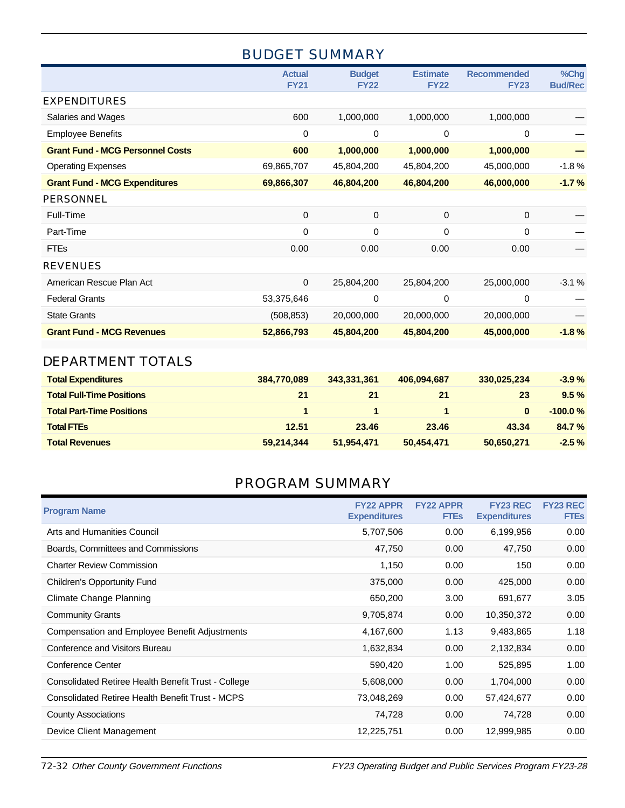## BUDGET SUMMARY

|                                         | <b>Actual</b><br><b>FY21</b> | <b>Budget</b><br><b>FY22</b> | <b>Estimate</b><br><b>FY22</b> | <b>Recommended</b><br><b>FY23</b> | %Chg<br><b>Bud/Rec</b> |
|-----------------------------------------|------------------------------|------------------------------|--------------------------------|-----------------------------------|------------------------|
| <b>EXPENDITURES</b>                     |                              |                              |                                |                                   |                        |
| Salaries and Wages                      | 600                          | 1,000,000                    | 1,000,000                      | 1,000,000                         |                        |
| <b>Employee Benefits</b>                | 0                            | 0                            | 0                              | 0                                 |                        |
| <b>Grant Fund - MCG Personnel Costs</b> | 600                          | 1,000,000                    | 1,000,000                      | 1,000,000                         |                        |
| <b>Operating Expenses</b>               | 69,865,707                   | 45,804,200                   | 45,804,200                     | 45,000,000                        | $-1.8%$                |
| <b>Grant Fund - MCG Expenditures</b>    | 69,866,307                   | 46,804,200                   | 46,804,200                     | 46,000,000                        | $-1.7%$                |
| <b>PERSONNEL</b>                        |                              |                              |                                |                                   |                        |
| Full-Time                               | 0                            | $\mathbf 0$                  | $\mathbf 0$                    | 0                                 |                        |
| Part-Time                               | 0                            | 0                            | 0                              | 0                                 |                        |
| <b>FTEs</b>                             | 0.00                         | 0.00                         | 0.00                           | 0.00                              |                        |
| <b>REVENUES</b>                         |                              |                              |                                |                                   |                        |
| American Rescue Plan Act                | 0                            | 25,804,200                   | 25,804,200                     | 25,000,000                        | $-3.1%$                |
| <b>Federal Grants</b>                   | 53,375,646                   | 0                            | 0                              | 0                                 |                        |
| <b>State Grants</b>                     | (508, 853)                   | 20,000,000                   | 20,000,000                     | 20,000,000                        |                        |
| <b>Grant Fund - MCG Revenues</b>        | 52,866,793                   | 45,804,200                   | 45,804,200                     | 45,000,000                        | $-1.8%$                |
| <b>DEPARTMENT TOTALS</b>                |                              |                              |                                |                                   |                        |

# **Total Expenditures 384,770,089 343,331,361 406,094,687 330,025,234 -3.9 % Total Full-Time Positions 21 21 21 23 9.5 % Total Part-Time Positions 1 1 1 0 -100.0 %**

| <b>Total FTEs</b>     | 12.51      | 23.46      | 23.46      | 43.34      | 84.7%   |
|-----------------------|------------|------------|------------|------------|---------|
| <b>Total Revenues</b> | 59,214,344 | 51,954,471 | 50,454,471 | 50.650.271 | $-2.5%$ |
|                       |            |            |            |            |         |

# PROGRAM SUMMARY

| <b>Program Name</b>                                 | <b>FY22 APPR</b><br><b>Expenditures</b> | <b>FY22 APPR</b><br><b>FTEs</b> | <b>FY23 REC</b><br><b>Expenditures</b> | <b>FY23 REC</b><br><b>FTEs</b> |
|-----------------------------------------------------|-----------------------------------------|---------------------------------|----------------------------------------|--------------------------------|
| Arts and Humanities Council                         | 5,707,506                               | 0.00                            | 6,199,956                              | 0.00                           |
| Boards, Committees and Commissions                  | 47,750                                  | 0.00                            | 47,750                                 | 0.00                           |
| <b>Charter Review Commission</b>                    | 1,150                                   | 0.00                            | 150                                    | 0.00                           |
| <b>Children's Opportunity Fund</b>                  | 375,000                                 | 0.00                            | 425,000                                | 0.00                           |
| <b>Climate Change Planning</b>                      | 650,200                                 | 3.00                            | 691,677                                | 3.05                           |
| <b>Community Grants</b>                             | 9,705,874                               | 0.00                            | 10,350,372                             | 0.00                           |
| Compensation and Employee Benefit Adjustments       | 4,167,600                               | 1.13                            | 9,483,865                              | 1.18                           |
| Conference and Visitors Bureau                      | 1,632,834                               | 0.00                            | 2,132,834                              | 0.00                           |
| Conference Center                                   | 590,420                                 | 1.00                            | 525,895                                | 1.00                           |
| Consolidated Retiree Health Benefit Trust - College | 5,608,000                               | 0.00                            | 1,704,000                              | 0.00                           |
| Consolidated Retiree Health Benefit Trust - MCPS    | 73,048,269                              | 0.00                            | 57,424,677                             | 0.00                           |
| <b>County Associations</b>                          | 74,728                                  | 0.00                            | 74,728                                 | 0.00                           |
| Device Client Management                            | 12,225,751                              | 0.00                            | 12,999,985                             | 0.00                           |
|                                                     |                                         |                                 |                                        |                                |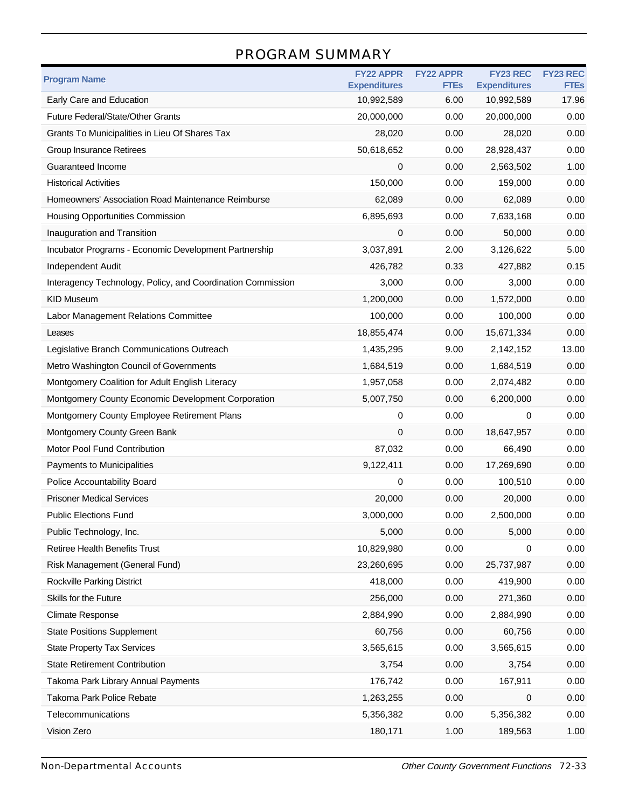## PROGRAM SUMMARY

| <b>Program Name</b>                                         | <b>FY22 APPR</b><br><b>Expenditures</b> | <b>FY22 APPR</b><br><b>FTEs</b> | <b>FY23 REC</b><br><b>Expenditures</b> | <b>FY23 REC</b><br><b>FTEs</b> |
|-------------------------------------------------------------|-----------------------------------------|---------------------------------|----------------------------------------|--------------------------------|
| Early Care and Education                                    | 10,992,589                              | 6.00                            | 10,992,589                             | 17.96                          |
| Future Federal/State/Other Grants                           | 20,000,000                              | 0.00                            | 20,000,000                             | 0.00                           |
| Grants To Municipalities in Lieu Of Shares Tax              | 28,020                                  | 0.00                            | 28,020                                 | 0.00                           |
| Group Insurance Retirees                                    | 50,618,652                              | 0.00                            | 28,928,437                             | 0.00                           |
| Guaranteed Income                                           | 0                                       | 0.00                            | 2,563,502                              | 1.00                           |
| <b>Historical Activities</b>                                | 150,000                                 | 0.00                            | 159,000                                | 0.00                           |
| Homeowners' Association Road Maintenance Reimburse          | 62,089                                  | 0.00                            | 62,089                                 | 0.00                           |
| <b>Housing Opportunities Commission</b>                     | 6,895,693                               | 0.00                            | 7,633,168                              | 0.00                           |
| Inauguration and Transition                                 | 0                                       | 0.00                            | 50,000                                 | 0.00                           |
| Incubator Programs - Economic Development Partnership       | 3,037,891                               | 2.00                            | 3,126,622                              | 5.00                           |
| <b>Independent Audit</b>                                    | 426,782                                 | 0.33                            | 427,882                                | 0.15                           |
| Interagency Technology, Policy, and Coordination Commission | 3,000                                   | 0.00                            | 3,000                                  | 0.00                           |
| <b>KID Museum</b>                                           | 1,200,000                               | 0.00                            | 1,572,000                              | 0.00                           |
| Labor Management Relations Committee                        | 100,000                                 | 0.00                            | 100,000                                | 0.00                           |
| Leases                                                      | 18,855,474                              | 0.00                            | 15,671,334                             | 0.00                           |
| Legislative Branch Communications Outreach                  | 1,435,295                               | 9.00                            | 2,142,152                              | 13.00                          |
| Metro Washington Council of Governments                     | 1,684,519                               | 0.00                            | 1,684,519                              | 0.00                           |
| Montgomery Coalition for Adult English Literacy             | 1,957,058                               | 0.00                            | 2,074,482                              | 0.00                           |
| Montgomery County Economic Development Corporation          | 5,007,750                               | 0.00                            | 6,200,000                              | 0.00                           |
| Montgomery County Employee Retirement Plans                 | 0                                       | 0.00                            | 0                                      | 0.00                           |
| Montgomery County Green Bank                                | 0                                       | 0.00                            | 18,647,957                             | 0.00                           |
| Motor Pool Fund Contribution                                | 87,032                                  | 0.00                            | 66,490                                 | 0.00                           |
| Payments to Municipalities                                  | 9,122,411                               | 0.00                            | 17,269,690                             | 0.00                           |
| Police Accountability Board                                 | 0                                       | 0.00                            | 100,510                                | 0.00                           |
| <b>Prisoner Medical Services</b>                            | 20,000                                  | 0.00                            | 20,000                                 | 0.00                           |
| <b>Public Elections Fund</b>                                | 3,000,000                               | 0.00                            | 2,500,000                              | 0.00                           |
| Public Technology, Inc.                                     | 5,000                                   | 0.00                            | 5,000                                  | 0.00                           |
| <b>Retiree Health Benefits Trust</b>                        | 10,829,980                              | 0.00                            | 0                                      | 0.00                           |
| Risk Management (General Fund)                              | 23,260,695                              | 0.00                            | 25,737,987                             | 0.00                           |
| Rockville Parking District                                  | 418,000                                 | 0.00                            | 419,900                                | 0.00                           |
| Skills for the Future                                       | 256,000                                 | 0.00                            | 271,360                                | 0.00                           |
| <b>Climate Response</b>                                     | 2,884,990                               | 0.00                            | 2,884,990                              | 0.00                           |
| <b>State Positions Supplement</b>                           | 60,756                                  | 0.00                            | 60,756                                 | 0.00                           |
| <b>State Property Tax Services</b>                          | 3,565,615                               | 0.00                            | 3,565,615                              | 0.00                           |
| <b>State Retirement Contribution</b>                        | 3,754                                   | 0.00                            | 3,754                                  | 0.00                           |
| Takoma Park Library Annual Payments                         | 176,742                                 | 0.00                            | 167,911                                | 0.00                           |
| Takoma Park Police Rebate                                   | 1,263,255                               | 0.00                            | 0                                      | 0.00                           |
| Telecommunications                                          | 5,356,382                               | 0.00                            | 5,356,382                              | 0.00                           |
| Vision Zero                                                 | 180,171                                 | 1.00                            | 189,563                                | 1.00                           |